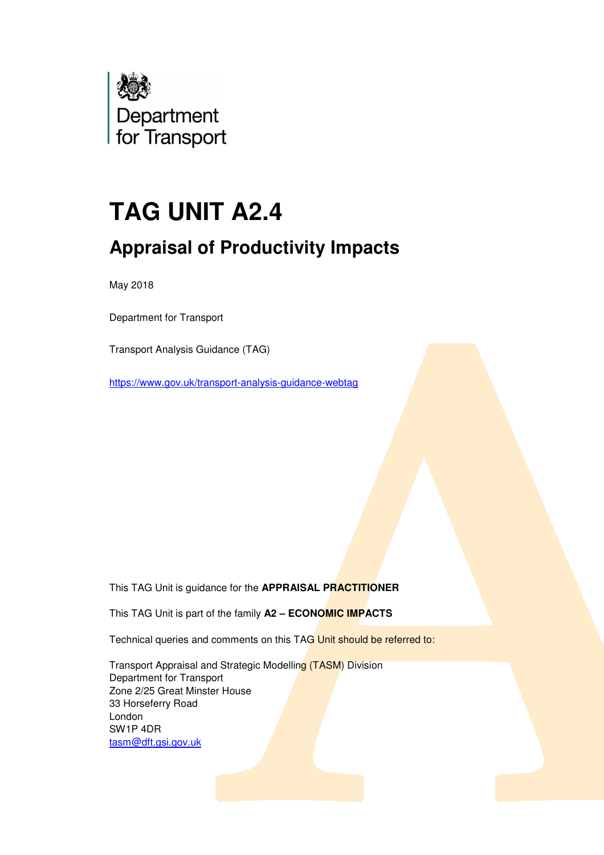

# **TAG UNIT A2.4**

# **Appraisal of Productivity Impacts**

May 2018

Department for Transport

Transport Analysis Guidance (TAG)

https://www.gov.uk/transport-analysis-guidance-webtag

This TAG Unit is guidance for the **APPRAISAL PRACTITIONER**

This TAG Unit is part of the family **A2 – ECONOMIC IMPACTS**

Technical queries and comments on this TAG Unit should be referred to:

 Transport Appraisal and Strategic Modelling (TASM) Division Department for Transport Zone 2/25 Great Minster House 33 Horseferry Road London SW1P 4DR tasm@dft.gsi.gov.uk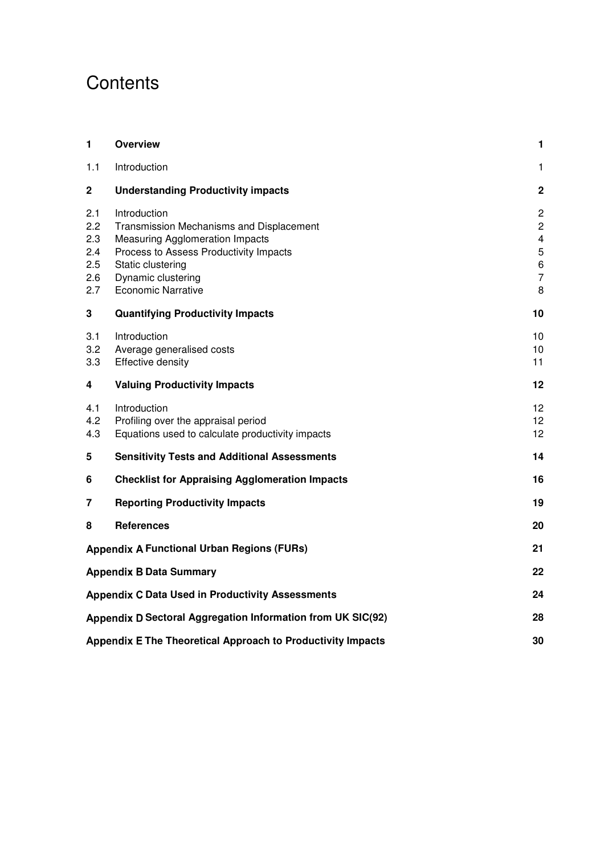# **Contents**

| $\blacksquare$                                              | <b>Overview</b>                                                                                                                                                                                                      | 1                                                                                          |
|-------------------------------------------------------------|----------------------------------------------------------------------------------------------------------------------------------------------------------------------------------------------------------------------|--------------------------------------------------------------------------------------------|
| 1.1                                                         | Introduction                                                                                                                                                                                                         | 1                                                                                          |
| $\mathbf 2$                                                 | <b>Understanding Productivity impacts</b>                                                                                                                                                                            | $\mathbf 2$                                                                                |
| 2.1<br>2.2<br>2.3<br>2.4<br>2.5<br>2.6<br>2.7               | Introduction<br>Transmission Mechanisms and Displacement<br><b>Measuring Agglomeration Impacts</b><br>Process to Assess Productivity Impacts<br>Static clustering<br>Dynamic clustering<br><b>Economic Narrative</b> | $\mathbf{2}$<br>$\overline{2}$<br>$\overline{\mathbf{4}}$<br>5<br>6<br>$\overline{7}$<br>8 |
| 3                                                           | <b>Quantifying Productivity Impacts</b>                                                                                                                                                                              | 10                                                                                         |
| 3.1<br>3.2<br>3.3                                           | Introduction<br>Average generalised costs<br><b>Effective density</b>                                                                                                                                                | 10<br>10<br>11                                                                             |
| 4                                                           | <b>Valuing Productivity Impacts</b>                                                                                                                                                                                  | 12                                                                                         |
| 4.1<br>4.2<br>4.3                                           | Introduction<br>Profiling over the appraisal period<br>Equations used to calculate productivity impacts                                                                                                              | 12<br>12<br>12                                                                             |
| 5                                                           | <b>Sensitivity Tests and Additional Assessments</b>                                                                                                                                                                  | 14                                                                                         |
| 6                                                           | <b>Checklist for Appraising Agglomeration Impacts</b>                                                                                                                                                                | 16                                                                                         |
| 7                                                           | <b>Reporting Productivity Impacts</b>                                                                                                                                                                                | 19                                                                                         |
| 8                                                           | <b>References</b>                                                                                                                                                                                                    | 20                                                                                         |
|                                                             | <b>Appendix A Functional Urban Regions (FURs)</b>                                                                                                                                                                    | 21                                                                                         |
|                                                             | <b>Appendix B Data Summary</b>                                                                                                                                                                                       | 22                                                                                         |
|                                                             | <b>Appendix C Data Used in Productivity Assessments</b>                                                                                                                                                              | 24                                                                                         |
| Appendix D Sectoral Aggregation Information from UK SIC(92) |                                                                                                                                                                                                                      |                                                                                            |
| Appendix E The Theoretical Approach to Productivity Impacts |                                                                                                                                                                                                                      |                                                                                            |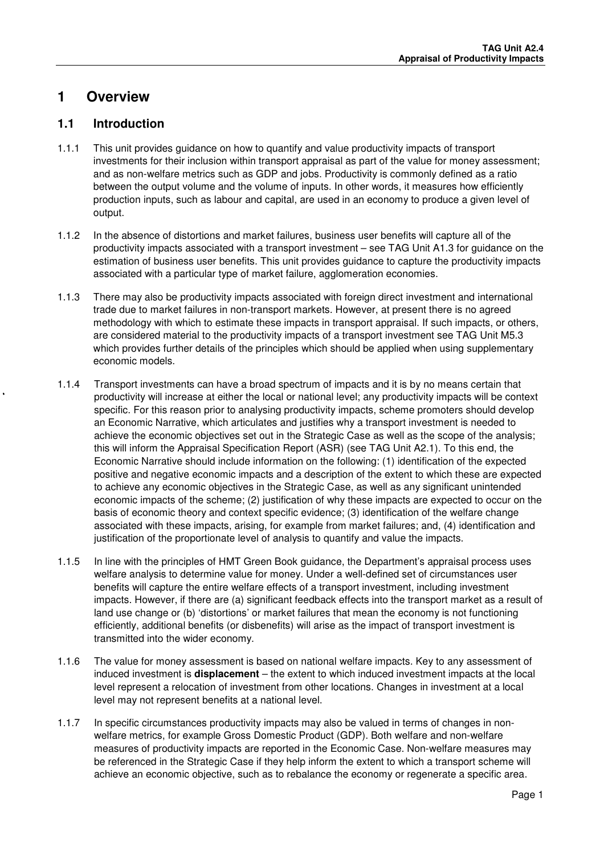## **1 Overview**

### **1.1 Introduction**

- 1.1.1 This unit provides guidance on how to quantify and value productivity impacts of transport investments for their inclusion within transport appraisal as part of the value for money assessment; and as non-welfare metrics such as GDP and jobs. Productivity is commonly defined as a ratio between the output volume and the volume of inputs. In other words, it measures how efficiently production inputs, such as labour and capital, are used in an economy to produce a given level of output.
- 1.1.2 In the absence of distortions and market failures, business user benefits will capture all of the productivity impacts associated with a transport investment – see TAG Unit A1.3 for guidance on the estimation of business user benefits. This unit provides guidance to capture the productivity impacts associated with a particular type of market failure, agglomeration economies.
- 1.1.3 There may also be productivity impacts associated with foreign direct investment and international trade due to market failures in non-transport markets. However, at present there is no agreed methodology with which to estimate these impacts in transport appraisal. If such impacts, or others, are considered material to the productivity impacts of a transport investment see TAG Unit M5.3 which provides further details of the principles which should be applied when using supplementary economic models.
- 1.1.4 Transport investments can have a broad spectrum of impacts and it is by no means certain that productivity will increase at either the local or national level; any productivity impacts will be context specific. For this reason prior to analysing productivity impacts, scheme promoters should develop an Economic Narrative, which articulates and justifies why a transport investment is needed to achieve the economic objectives set out in the Strategic Case as well as the scope of the analysis; this will inform the Appraisal Specification Report (ASR) (see TAG Unit A2.1). To this end, the Economic Narrative should include information on the following: (1) identification of the expected positive and negative economic impacts and a description of the extent to which these are expected to achieve any economic objectives in the Strategic Case, as well as any significant unintended economic impacts of the scheme; (2) justification of why these impacts are expected to occur on the basis of economic theory and context specific evidence; (3) identification of the welfare change associated with these impacts, arising, for example from market failures; and, (4) identification and justification of the proportionate level of analysis to quantify and value the impacts.
- 1.1.5 In line with the principles of HMT Green Book guidance, the Department's appraisal process uses welfare analysis to determine value for money. Under a well-defined set of circumstances user benefits will capture the entire welfare effects of a transport investment, including investment impacts. However, if there are (a) significant feedback effects into the transport market as a result of land use change or (b) 'distortions' or market failures that mean the economy is not functioning efficiently, additional benefits (or disbenefits) will arise as the impact of transport investment is transmitted into the wider economy.
- 1.1.6 The value for money assessment is based on national welfare impacts. Key to any assessment of induced investment is **displacement** – the extent to which induced investment impacts at the local level represent a relocation of investment from other locations. Changes in investment at a local level may not represent benefits at a national level.
- 1.1.7 In specific circumstances productivity impacts may also be valued in terms of changes in nonwelfare metrics, for example Gross Domestic Product (GDP). Both welfare and non-welfare measures of productivity impacts are reported in the Economic Case. Non-welfare measures may be referenced in the Strategic Case if they help inform the extent to which a transport scheme will achieve an economic objective, such as to rebalance the economy or regenerate a specific area.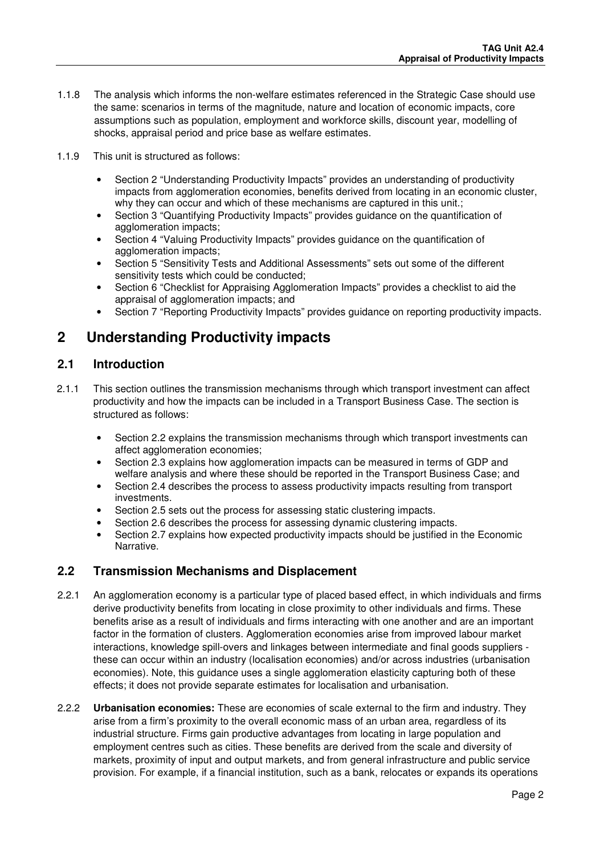- 1.1.8 The analysis which informs the non-welfare estimates referenced in the Strategic Case should use the same: scenarios in terms of the magnitude, nature and location of economic impacts, core assumptions such as population, employment and workforce skills, discount year, modelling of shocks, appraisal period and price base as welfare estimates.
- 1.1.9 This unit is structured as follows:
	- Section 2 "Understanding Productivity Impacts" provides an understanding of productivity impacts from agglomeration economies, benefits derived from locating in an economic cluster, why they can occur and which of these mechanisms are captured in this unit.;
	- Section 3 "Quantifying Productivity Impacts" provides guidance on the quantification of agglomeration impacts;
	- Section 4 "Valuing Productivity Impacts" provides guidance on the quantification of agglomeration impacts;
	- Section 5 "Sensitivity Tests and Additional Assessments" sets out some of the different sensitivity tests which could be conducted;
	- Section 6 "Checklist for Appraising Agglomeration Impacts" provides a checklist to aid the appraisal of agglomeration impacts; and
	- Section 7 "Reporting Productivity Impacts" provides guidance on reporting productivity impacts.

## **2 Understanding Productivity impacts**

### **2.1 Introduction**

- 2.1.1 This section outlines the transmission mechanisms through which transport investment can affect productivity and how the impacts can be included in a Transport Business Case. The section is structured as follows:
	- Section 2.2 explains the transmission mechanisms through which transport investments can affect agglomeration economies;
	- Section 2.3 explains how agglomeration impacts can be measured in terms of GDP and welfare analysis and where these should be reported in the Transport Business Case; and
	- Section 2.4 describes the process to assess productivity impacts resulting from transport investments.
	- Section 2.5 sets out the process for assessing static clustering impacts.
	- Section 2.6 describes the process for assessing dynamic clustering impacts.
	- Section 2.7 explains how expected productivity impacts should be justified in the Economic Narrative.

### **2.2 Transmission Mechanisms and Displacement**

- 2.2.1 An agglomeration economy is a particular type of placed based effect, in which individuals and firms derive productivity benefits from locating in close proximity to other individuals and firms. These benefits arise as a result of individuals and firms interacting with one another and are an important factor in the formation of clusters. Agglomeration economies arise from improved labour market interactions, knowledge spill-overs and linkages between intermediate and final goods suppliers these can occur within an industry (localisation economies) and/or across industries (urbanisation economies). Note, this guidance uses a single agglomeration elasticity capturing both of these effects; it does not provide separate estimates for localisation and urbanisation.
- 2.2.2 **Urbanisation economies:** These are economies of scale external to the firm and industry. They arise from a firm's proximity to the overall economic mass of an urban area, regardless of its industrial structure. Firms gain productive advantages from locating in large population and employment centres such as cities. These benefits are derived from the scale and diversity of markets, proximity of input and output markets, and from general infrastructure and public service provision. For example, if a financial institution, such as a bank, relocates or expands its operations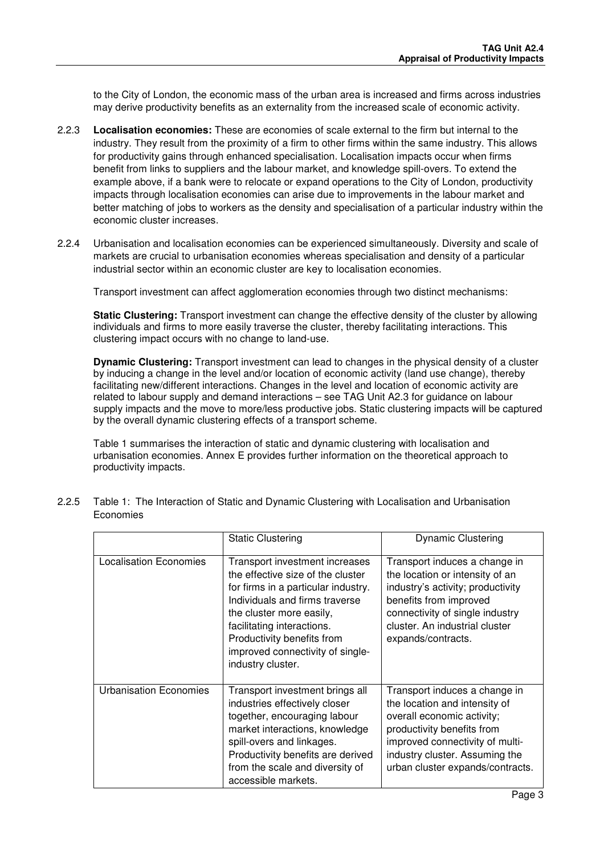to the City of London, the economic mass of the urban area is increased and firms across industries may derive productivity benefits as an externality from the increased scale of economic activity.

- 2.2.3 **Localisation economies:** These are economies of scale external to the firm but internal to the industry. They result from the proximity of a firm to other firms within the same industry. This allows for productivity gains through enhanced specialisation. Localisation impacts occur when firms benefit from links to suppliers and the labour market, and knowledge spill-overs. To extend the example above, if a bank were to relocate or expand operations to the City of London, productivity impacts through localisation economies can arise due to improvements in the labour market and better matching of jobs to workers as the density and specialisation of a particular industry within the economic cluster increases.
- 2.2.4 Urbanisation and localisation economies can be experienced simultaneously. Diversity and scale of markets are crucial to urbanisation economies whereas specialisation and density of a particular industrial sector within an economic cluster are key to localisation economies.

Transport investment can affect agglomeration economies through two distinct mechanisms:

**Static Clustering:** Transport investment can change the effective density of the cluster by allowing individuals and firms to more easily traverse the cluster, thereby facilitating interactions. This clustering impact occurs with no change to land-use.

**Dynamic Clustering:** Transport investment can lead to changes in the physical density of a cluster by inducing a change in the level and/or location of economic activity (land use change), thereby facilitating new/different interactions. Changes in the level and location of economic activity are related to labour supply and demand interactions – see TAG Unit A2.3 for guidance on labour supply impacts and the move to more/less productive jobs. Static clustering impacts will be captured by the overall dynamic clustering effects of a transport scheme.

Table 1 summarises the interaction of static and dynamic clustering with localisation and urbanisation economies. Annex E provides further information on the theoretical approach to productivity impacts.

|                                                                                                                                                                                                                                                                                                                                | <b>Static Clustering</b>                                                                                                                                                                                                                                       | <b>Dynamic Clustering</b>                                                                                                                                                                                                           |  |
|--------------------------------------------------------------------------------------------------------------------------------------------------------------------------------------------------------------------------------------------------------------------------------------------------------------------------------|----------------------------------------------------------------------------------------------------------------------------------------------------------------------------------------------------------------------------------------------------------------|-------------------------------------------------------------------------------------------------------------------------------------------------------------------------------------------------------------------------------------|--|
| <b>Localisation Economies</b><br>Transport investment increases<br>the effective size of the cluster<br>for firms in a particular industry.<br>Individuals and firms traverse<br>the cluster more easily,<br>facilitating interactions.<br>Productivity benefits from<br>improved connectivity of single-<br>industry cluster. |                                                                                                                                                                                                                                                                | Transport induces a change in<br>the location or intensity of an<br>industry's activity; productivity<br>benefits from improved<br>connectivity of single industry<br>cluster. An industrial cluster<br>expands/contracts.          |  |
| Urbanisation Economies                                                                                                                                                                                                                                                                                                         | Transport investment brings all<br>industries effectively closer<br>together, encouraging labour<br>market interactions, knowledge<br>spill-overs and linkages.<br>Productivity benefits are derived<br>from the scale and diversity of<br>accessible markets. | Transport induces a change in<br>the location and intensity of<br>overall economic activity;<br>productivity benefits from<br>improved connectivity of multi-<br>industry cluster. Assuming the<br>urban cluster expands/contracts. |  |

2.2.5 Table 1: The Interaction of Static and Dynamic Clustering with Localisation and Urbanisation Economies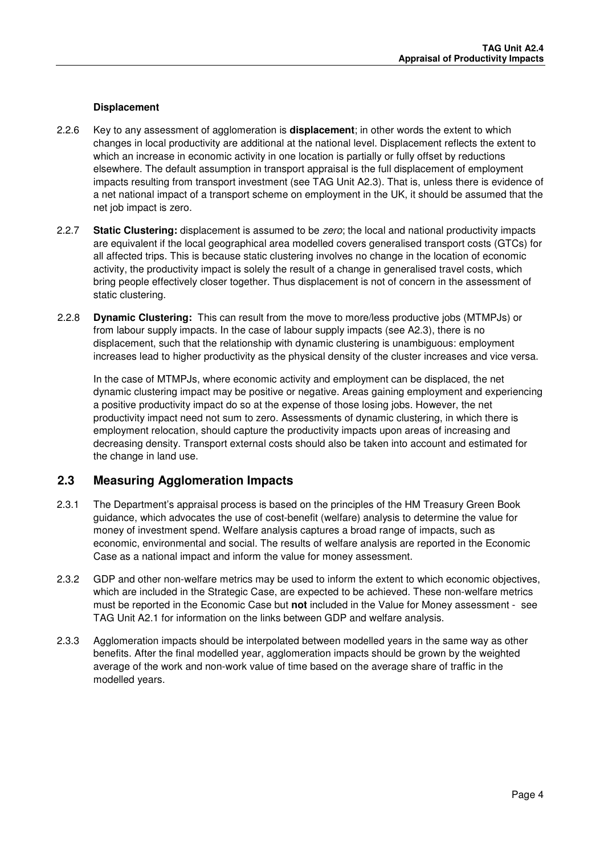#### **Displacement**

- 2.2.6 Key to any assessment of agglomeration is **displacement**; in other words the extent to which changes in local productivity are additional at the national level. Displacement reflects the extent to which an increase in economic activity in one location is partially or fully offset by reductions elsewhere. The default assumption in transport appraisal is the full displacement of employment impacts resulting from transport investment (see TAG Unit A2.3). That is, unless there is evidence of a net national impact of a transport scheme on employment in the UK, it should be assumed that the net job impact is zero.
- 2.2.7 **Static Clustering:** displacement is assumed to be zero; the local and national productivity impacts are equivalent if the local geographical area modelled covers generalised transport costs (GTCs) for all affected trips. This is because static clustering involves no change in the location of economic activity, the productivity impact is solely the result of a change in generalised travel costs, which bring people effectively closer together. Thus displacement is not of concern in the assessment of static clustering.
- 2.2.8 **Dynamic Clustering:** This can result from the move to more/less productive jobs (MTMPJs) or from labour supply impacts. In the case of labour supply impacts (see A2.3), there is no displacement, such that the relationship with dynamic clustering is unambiguous: employment increases lead to higher productivity as the physical density of the cluster increases and vice versa.

In the case of MTMPJs, where economic activity and employment can be displaced, the net dynamic clustering impact may be positive or negative. Areas gaining employment and experiencing a positive productivity impact do so at the expense of those losing jobs. However, the net productivity impact need not sum to zero. Assessments of dynamic clustering, in which there is employment relocation, should capture the productivity impacts upon areas of increasing and decreasing density. Transport external costs should also be taken into account and estimated for the change in land use.

### **2.3 Measuring Agglomeration Impacts**

- 2.3.1 The Department's appraisal process is based on the principles of the HM Treasury Green Book guidance, which advocates the use of cost-benefit (welfare) analysis to determine the value for money of investment spend. Welfare analysis captures a broad range of impacts, such as economic, environmental and social. The results of welfare analysis are reported in the Economic Case as a national impact and inform the value for money assessment.
- 2.3.2 GDP and other non-welfare metrics may be used to inform the extent to which economic objectives, which are included in the Strategic Case, are expected to be achieved. These non-welfare metrics must be reported in the Economic Case but **not** included in the Value for Money assessment - see TAG Unit A2.1 for information on the links between GDP and welfare analysis.
- 2.3.3 Agglomeration impacts should be interpolated between modelled years in the same way as other benefits. After the final modelled year, agglomeration impacts should be grown by the weighted average of the work and non-work value of time based on the average share of traffic in the modelled years.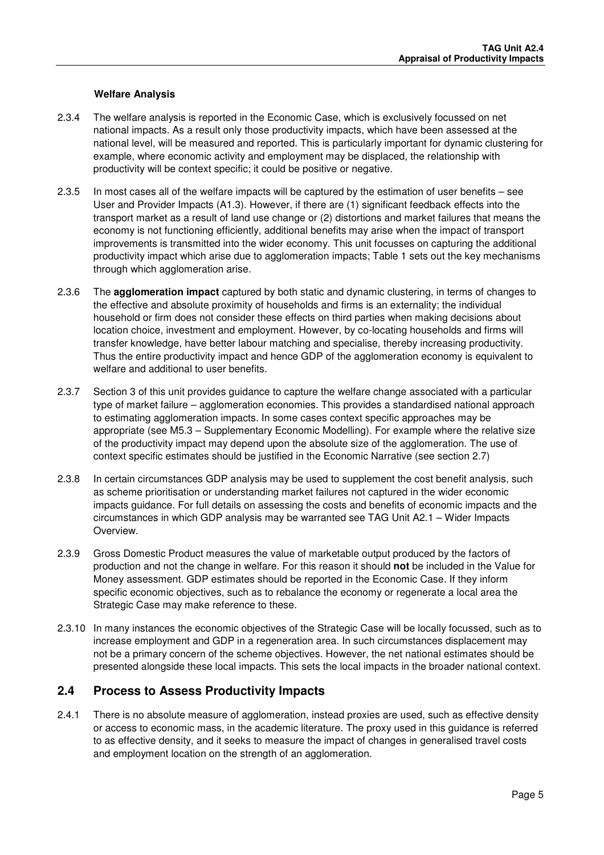#### **Welfare Analysis**

- 2.3.4 The welfare analysis is reported in the Economic Case, which is exclusively focussed on net national impacts. As a result only those productivity impacts, which have been assessed at the national level, will be measured and reported. This is particularly important for dynamic clustering for example, where economic activity and employment may be displaced, the relationship with productivity will be context specific; it could be positive or negative.
- 2.3.5 In most cases all of the welfare impacts will be captured by the estimation of user benefits see User and Provider Impacts (A1.3). However, if there are (1) significant feedback effects into the transport market as a result of land use change or (2) distortions and market failures that means the economy is not functioning efficiently, additional benefits may arise when the impact of transport improvements is transmitted into the wider economy. This unit focusses on capturing the additional productivity impact which arise due to agglomeration impacts; Table 1 sets out the key mechanisms through which agglomeration arise.
- 2.3.6 The **agglomeration impact** captured by both static and dynamic clustering, in terms of changes to the effective and absolute proximity of households and firms is an externality; the individual household or firm does not consider these effects on third parties when making decisions about location choice, investment and employment. However, by co-locating households and firms will transfer knowledge, have better labour matching and specialise, thereby increasing productivity. Thus the entire productivity impact and hence GDP of the agglomeration economy is equivalent to welfare and additional to user benefits.
- 2.3.7 Section 3 of this unit provides guidance to capture the welfare change associated with a particular type of market failure – agglomeration economies. This provides a standardised national approach to estimating agglomeration impacts. In some cases context specific approaches may be appropriate (see M5.3 – Supplementary Economic Modelling). For example where the relative size of the productivity impact may depend upon the absolute size of the agglomeration. The use of context specific estimates should be justified in the Economic Narrative (see section 2.7)
- 2.3.8 In certain circumstances GDP analysis may be used to supplement the cost benefit analysis, such as scheme prioritisation or understanding market failures not captured in the wider economic impacts guidance. For full details on assessing the costs and benefits of economic impacts and the circumstances in which GDP analysis may be warranted see TAG Unit A2.1 – Wider Impacts Overview.
- 2.3.9 Gross Domestic Product measures the value of marketable output produced by the factors of production and not the change in welfare. For this reason it should **not** be included in the Value for Money assessment. GDP estimates should be reported in the Economic Case. If they inform specific economic objectives, such as to rebalance the economy or regenerate a local area the Strategic Case may make reference to these.
- 2.3.10 In many instances the economic objectives of the Strategic Case will be locally focussed, such as to increase employment and GDP in a regeneration area. In such circumstances displacement may not be a primary concern of the scheme objectives. However, the net national estimates should be presented alongside these local impacts. This sets the local impacts in the broader national context.

### **2.4 Process to Assess Productivity Impacts**

2.4.1 There is no absolute measure of agglomeration, instead proxies are used, such as effective density or access to economic mass, in the academic literature. The proxy used in this guidance is referred to as effective density, and it seeks to measure the impact of changes in generalised travel costs and employment location on the strength of an agglomeration.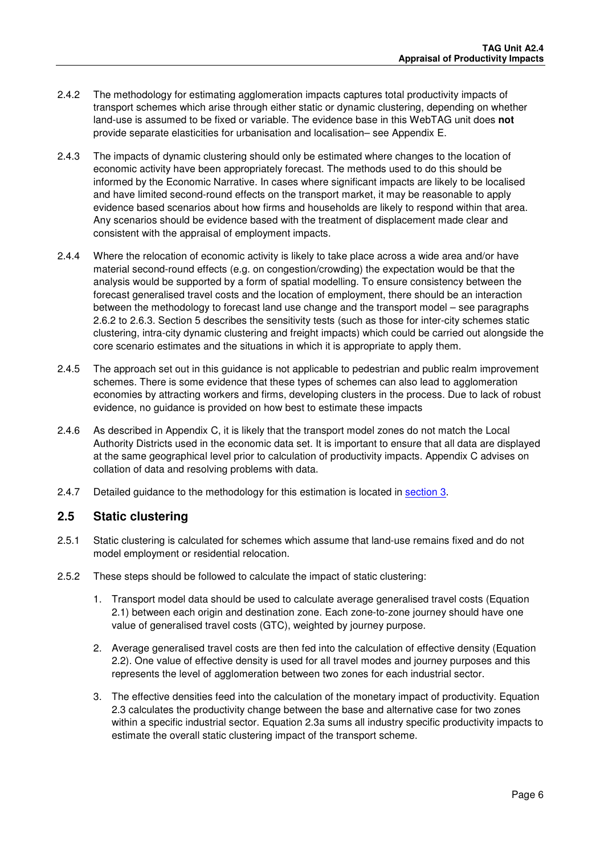- 2.4.2 The methodology for estimating agglomeration impacts captures total productivity impacts of transport schemes which arise through either static or dynamic clustering, depending on whether land-use is assumed to be fixed or variable. The evidence base in this WebTAG unit does **not** provide separate elasticities for urbanisation and localisation– see Appendix E.
- 2.4.3 The impacts of dynamic clustering should only be estimated where changes to the location of economic activity have been appropriately forecast. The methods used to do this should be informed by the Economic Narrative. In cases where significant impacts are likely to be localised and have limited second-round effects on the transport market, it may be reasonable to apply evidence based scenarios about how firms and households are likely to respond within that area. Any scenarios should be evidence based with the treatment of displacement made clear and consistent with the appraisal of employment impacts.
- 2.4.4 Where the relocation of economic activity is likely to take place across a wide area and/or have material second-round effects (e.g. on congestion/crowding) the expectation would be that the analysis would be supported by a form of spatial modelling. To ensure consistency between the forecast generalised travel costs and the location of employment, there should be an interaction between the methodology to forecast land use change and the transport model – see paragraphs 2.6.2 to 2.6.3. Section 5 describes the sensitivity tests (such as those for inter-city schemes static clustering, intra-city dynamic clustering and freight impacts) which could be carried out alongside the core scenario estimates and the situations in which it is appropriate to apply them.
- 2.4.5 The approach set out in this guidance is not applicable to pedestrian and public realm improvement schemes. There is some evidence that these types of schemes can also lead to agglomeration economies by attracting workers and firms, developing clusters in the process. Due to lack of robust evidence, no guidance is provided on how best to estimate these impacts
- 2.4.6 As described in Appendix C, it is likely that the transport model zones do not match the Local Authority Districts used in the economic data set. It is important to ensure that all data are displayed at the same geographical level prior to calculation of productivity impacts. Appendix C advises on collation of data and resolving problems with data.
- 2.4.7 Detailed guidance to the methodology for this estimation is located in section 3.

### **2.5 Static clustering**

- 2.5.1 Static clustering is calculated for schemes which assume that land-use remains fixed and do not model employment or residential relocation.
- 2.5.2 These steps should be followed to calculate the impact of static clustering:
	- 1. Transport model data should be used to calculate average generalised travel costs (Equation 2.1) between each origin and destination zone. Each zone-to-zone journey should have one value of generalised travel costs (GTC), weighted by journey purpose.
	- 2. Average generalised travel costs are then fed into the calculation of effective density (Equation 2.2). One value of effective density is used for all travel modes and journey purposes and this represents the level of agglomeration between two zones for each industrial sector.
	- 3. The effective densities feed into the calculation of the monetary impact of productivity. Equation 2.3 calculates the productivity change between the base and alternative case for two zones within a specific industrial sector. Equation 2.3a sums all industry specific productivity impacts to estimate the overall static clustering impact of the transport scheme.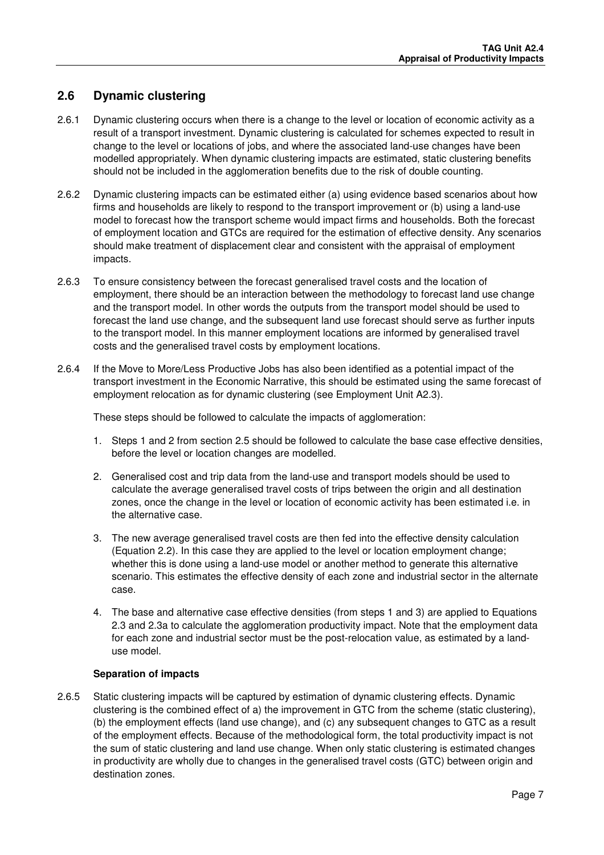### **2.6 Dynamic clustering**

- 2.6.1 Dynamic clustering occurs when there is a change to the level or location of economic activity as a result of a transport investment. Dynamic clustering is calculated for schemes expected to result in change to the level or locations of jobs, and where the associated land-use changes have been modelled appropriately. When dynamic clustering impacts are estimated, static clustering benefits should not be included in the agglomeration benefits due to the risk of double counting.
- 2.6.2 Dynamic clustering impacts can be estimated either (a) using evidence based scenarios about how firms and households are likely to respond to the transport improvement or (b) using a land-use model to forecast how the transport scheme would impact firms and households. Both the forecast of employment location and GTCs are required for the estimation of effective density. Any scenarios should make treatment of displacement clear and consistent with the appraisal of employment impacts.
- 2.6.3 To ensure consistency between the forecast generalised travel costs and the location of employment, there should be an interaction between the methodology to forecast land use change and the transport model. In other words the outputs from the transport model should be used to forecast the land use change, and the subsequent land use forecast should serve as further inputs to the transport model. In this manner employment locations are informed by generalised travel costs and the generalised travel costs by employment locations.
- 2.6.4 If the Move to More/Less Productive Jobs has also been identified as a potential impact of the transport investment in the Economic Narrative, this should be estimated using the same forecast of employment relocation as for dynamic clustering (see Employment Unit A2.3).

These steps should be followed to calculate the impacts of agglomeration:

- 1. Steps 1 and 2 from section 2.5 should be followed to calculate the base case effective densities, before the level or location changes are modelled.
- 2. Generalised cost and trip data from the land-use and transport models should be used to calculate the average generalised travel costs of trips between the origin and all destination zones, once the change in the level or location of economic activity has been estimated i.e. in the alternative case.
- 3. The new average generalised travel costs are then fed into the effective density calculation (Equation 2.2). In this case they are applied to the level or location employment change; whether this is done using a land-use model or another method to generate this alternative scenario. This estimates the effective density of each zone and industrial sector in the alternate case.
- 4. The base and alternative case effective densities (from steps 1 and 3) are applied to Equations 2.3 and 2.3a to calculate the agglomeration productivity impact. Note that the employment data for each zone and industrial sector must be the post-relocation value, as estimated by a landuse model.

### **Separation of impacts**

2.6.5 Static clustering impacts will be captured by estimation of dynamic clustering effects. Dynamic clustering is the combined effect of a) the improvement in GTC from the scheme (static clustering), (b) the employment effects (land use change), and (c) any subsequent changes to GTC as a result of the employment effects. Because of the methodological form, the total productivity impact is not the sum of static clustering and land use change. When only static clustering is estimated changes in productivity are wholly due to changes in the generalised travel costs (GTC) between origin and destination zones.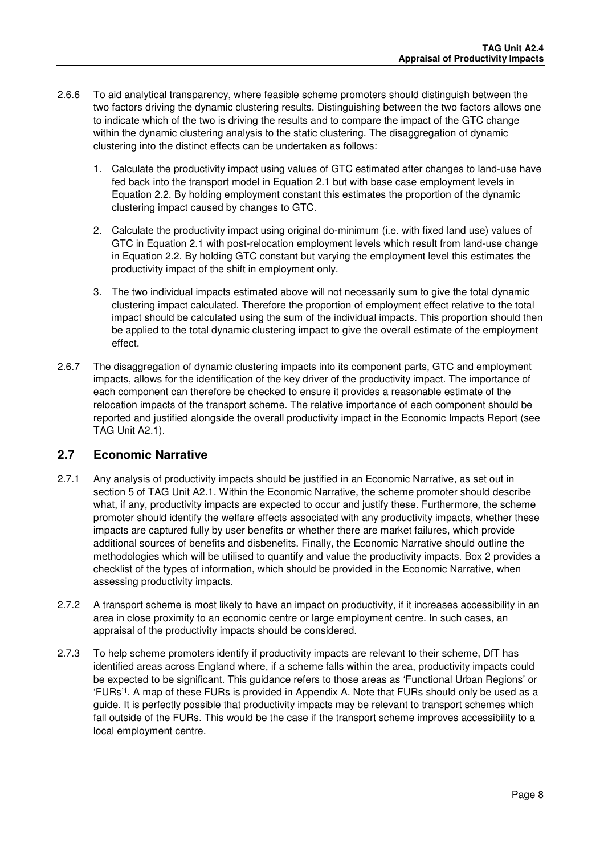- 2.6.6 To aid analytical transparency, where feasible scheme promoters should distinguish between the two factors driving the dynamic clustering results. Distinguishing between the two factors allows one to indicate which of the two is driving the results and to compare the impact of the GTC change within the dynamic clustering analysis to the static clustering. The disaggregation of dynamic clustering into the distinct effects can be undertaken as follows:
	- 1. Calculate the productivity impact using values of GTC estimated after changes to land-use have fed back into the transport model in Equation 2.1 but with base case employment levels in Equation 2.2. By holding employment constant this estimates the proportion of the dynamic clustering impact caused by changes to GTC.
	- 2. Calculate the productivity impact using original do-minimum (i.e. with fixed land use) values of GTC in Equation 2.1 with post-relocation employment levels which result from land-use change in Equation 2.2. By holding GTC constant but varying the employment level this estimates the productivity impact of the shift in employment only.
	- 3. The two individual impacts estimated above will not necessarily sum to give the total dynamic clustering impact calculated. Therefore the proportion of employment effect relative to the total impact should be calculated using the sum of the individual impacts. This proportion should then be applied to the total dynamic clustering impact to give the overall estimate of the employment effect.
- 2.6.7 The disaggregation of dynamic clustering impacts into its component parts, GTC and employment impacts, allows for the identification of the key driver of the productivity impact. The importance of each component can therefore be checked to ensure it provides a reasonable estimate of the relocation impacts of the transport scheme. The relative importance of each component should be reported and justified alongside the overall productivity impact in the Economic Impacts Report (see TAG Unit A2.1).

### **2.7 Economic Narrative**

- 2.7.1 Any analysis of productivity impacts should be justified in an Economic Narrative, as set out in section 5 of TAG Unit A2.1. Within the Economic Narrative, the scheme promoter should describe what, if any, productivity impacts are expected to occur and justify these. Furthermore, the scheme promoter should identify the welfare effects associated with any productivity impacts, whether these impacts are captured fully by user benefits or whether there are market failures, which provide additional sources of benefits and disbenefits. Finally, the Economic Narrative should outline the methodologies which will be utilised to quantify and value the productivity impacts. Box 2 provides a checklist of the types of information, which should be provided in the Economic Narrative, when assessing productivity impacts.
- 2.7.2 A transport scheme is most likely to have an impact on productivity, if it increases accessibility in an area in close proximity to an economic centre or large employment centre. In such cases, an appraisal of the productivity impacts should be considered.
- 2.7.3 To help scheme promoters identify if productivity impacts are relevant to their scheme, DfT has identified areas across England where, if a scheme falls within the area, productivity impacts could be expected to be significant. This guidance refers to those areas as 'Functional Urban Regions' or 'FURs'<sup>1</sup> . A map of these FURs is provided in Appendix A. Note that FURs should only be used as a guide. It is perfectly possible that productivity impacts may be relevant to transport schemes which fall outside of the FURs. This would be the case if the transport scheme improves accessibility to a local employment centre.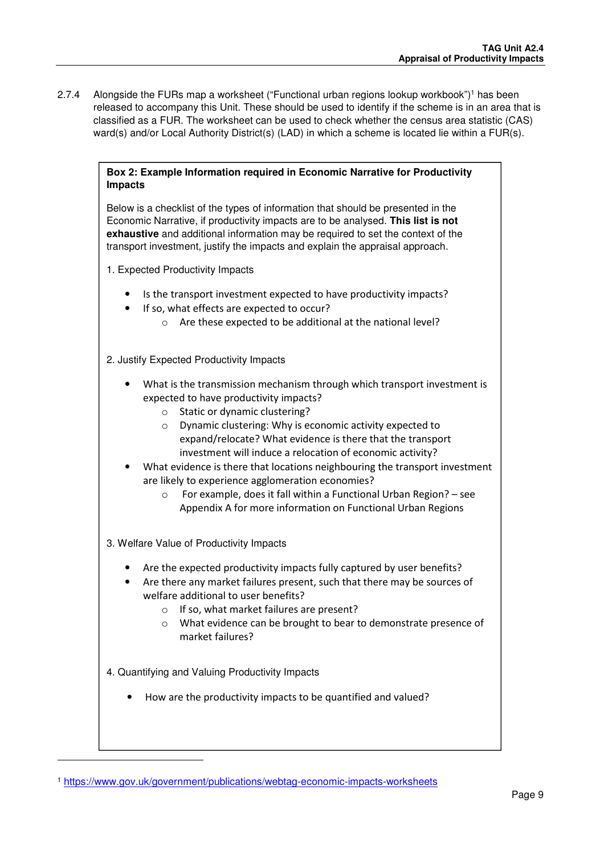2.7.4 Alongside the FURs map a worksheet ("Functional urban regions lookup workbook")<sup>1</sup> has been released to accompany this Unit. These should be used to identify if the scheme is in an area that is classified as a FUR. The worksheet can be used to check whether the census area statistic (CAS) ward(s) and/or Local Authority District(s) (LAD) in which a scheme is located lie within a FUR(s).

#### **Box 2: Example Information required in Economic Narrative for Productivity Impacts**

Below is a checklist of the types of information that should be presented in the Economic Narrative, if productivity impacts are to be analysed. **This list is not exhaustive** and additional information may be required to set the context of the transport investment, justify the impacts and explain the appraisal approach.

1. Expected Productivity Impacts

- Is the transport investment expected to have productivity impacts?
- If so, what effects are expected to occur?
	- o Are these expected to be additional at the national level?

2. Justify Expected Productivity Impacts

- What is the transmission mechanism through which transport investment is expected to have productivity impacts?
	- o Static or dynamic clustering?
	- o Dynamic clustering: Why is economic activity expected to expand/relocate? What evidence is there that the transport investment will induce a relocation of economic activity?
- What evidence is there that locations neighbouring the transport investment are likely to experience agglomeration economies?
	- o For example, does it fall within a Functional Urban Region? see Appendix A for more information on Functional Urban Regions

3. Welfare Value of Productivity Impacts

- Are the expected productivity impacts fully captured by user benefits?
- Are there any market failures present, such that there may be sources of welfare additional to user benefits?
	- o If so, what market failures are present?
	- o What evidence can be brought to bear to demonstrate presence of market failures?

4. Quantifying and Valuing Productivity Impacts

l

• How are the productivity impacts to be quantified and valued?

<sup>1</sup> https://www.gov.uk/government/publications/webtag-economic-impacts-worksheets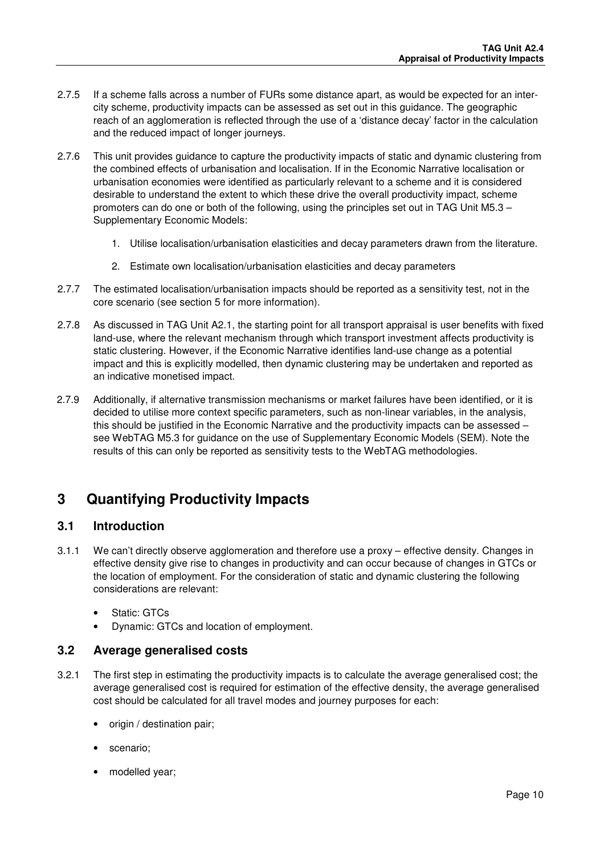- 2.7.5 If a scheme falls across a number of FURs some distance apart, as would be expected for an intercity scheme, productivity impacts can be assessed as set out in this guidance. The geographic reach of an agglomeration is reflected through the use of a 'distance decay' factor in the calculation and the reduced impact of longer journeys.
- 2.7.6 This unit provides guidance to capture the productivity impacts of static and dynamic clustering from the combined effects of urbanisation and localisation. If in the Economic Narrative localisation or urbanisation economies were identified as particularly relevant to a scheme and it is considered desirable to understand the extent to which these drive the overall productivity impact, scheme promoters can do one or both of the following, using the principles set out in TAG Unit M5.3 – Supplementary Economic Models:
	- 1. Utilise localisation/urbanisation elasticities and decay parameters drawn from the literature.
	- 2. Estimate own localisation/urbanisation elasticities and decay parameters
- 2.7.7 The estimated localisation/urbanisation impacts should be reported as a sensitivity test, not in the core scenario (see section 5 for more information).
- 2.7.8 As discussed in TAG Unit A2.1, the starting point for all transport appraisal is user benefits with fixed land-use, where the relevant mechanism through which transport investment affects productivity is static clustering. However, if the Economic Narrative identifies land-use change as a potential impact and this is explicitly modelled, then dynamic clustering may be undertaken and reported as an indicative monetised impact.
- 2.7.9 Additionally, if alternative transmission mechanisms or market failures have been identified, or it is decided to utilise more context specific parameters, such as non-linear variables, in the analysis, this should be justified in the Economic Narrative and the productivity impacts can be assessed – see WebTAG M5.3 for guidance on the use of Supplementary Economic Models (SEM). Note the results of this can only be reported as sensitivity tests to the WebTAG methodologies.

# **3 Quantifying Productivity Impacts**

### **3.1 Introduction**

- 3.1.1 We can't directly observe agglomeration and therefore use a proxy effective density. Changes in effective density give rise to changes in productivity and can occur because of changes in GTCs or the location of employment. For the consideration of static and dynamic clustering the following considerations are relevant:
	- Static: GTCs
	- Dynamic: GTCs and location of employment.

### **3.2 Average generalised costs**

- 3.2.1 The first step in estimating the productivity impacts is to calculate the average generalised cost; the average generalised cost is required for estimation of the effective density, the average generalised cost should be calculated for all travel modes and journey purposes for each:
	- origin / destination pair;
	- scenario;
	- modelled year;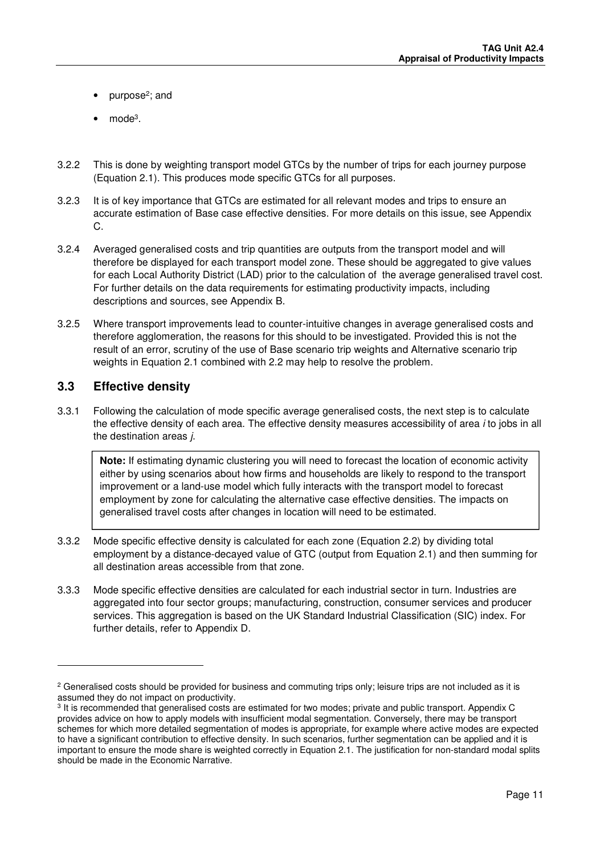- purpose<sup>2</sup>; and
- $\bullet$  mode<sup>3</sup>.
- 3.2.2 This is done by weighting transport model GTCs by the number of trips for each journey purpose (Equation 2.1). This produces mode specific GTCs for all purposes.
- 3.2.3 It is of key importance that GTCs are estimated for all relevant modes and trips to ensure an accurate estimation of Base case effective densities. For more details on this issue, see Appendix  $\Omega$
- 3.2.4 Averaged generalised costs and trip quantities are outputs from the transport model and will therefore be displayed for each transport model zone. These should be aggregated to give values for each Local Authority District (LAD) prior to the calculation of the average generalised travel cost. For further details on the data requirements for estimating productivity impacts, including descriptions and sources, see Appendix B.
- 3.2.5 Where transport improvements lead to counter-intuitive changes in average generalised costs and therefore agglomeration, the reasons for this should to be investigated. Provided this is not the result of an error, scrutiny of the use of Base scenario trip weights and Alternative scenario trip weights in Equation 2.1 combined with 2.2 may help to resolve the problem.

### **3.3 Effective density**

l

3.3.1 Following the calculation of mode specific average generalised costs, the next step is to calculate the effective density of each area. The effective density measures accessibility of area *i* to jobs in all the destination areas *i*.

**Note:** If estimating dynamic clustering you will need to forecast the location of economic activity either by using scenarios about how firms and households are likely to respond to the transport improvement or a land-use model which fully interacts with the transport model to forecast employment by zone for calculating the alternative case effective densities. The impacts on generalised travel costs after changes in location will need to be estimated.

- 3.3.2 Mode specific effective density is calculated for each zone (Equation 2.2) by dividing total employment by a distance-decayed value of GTC (output from Equation 2.1) and then summing for all destination areas accessible from that zone.
- 3.3.3 Mode specific effective densities are calculated for each industrial sector in turn. Industries are aggregated into four sector groups; manufacturing, construction, consumer services and producer services. This aggregation is based on the UK Standard Industrial Classification (SIC) index. For further details, refer to Appendix D.

 $^2$  Generalised costs should be provided for business and commuting trips only; leisure trips are not included as it is assumed they do not impact on productivity.

<sup>&</sup>lt;sup>3</sup> It is recommended that generalised costs are estimated for two modes; private and public transport. Appendix C provides advice on how to apply models with insufficient modal segmentation. Conversely, there may be transport schemes for which more detailed segmentation of modes is appropriate, for example where active modes are expected to have a significant contribution to effective density. In such scenarios, further segmentation can be applied and it is important to ensure the mode share is weighted correctly in Equation 2.1. The justification for non-standard modal splits should be made in the Economic Narrative.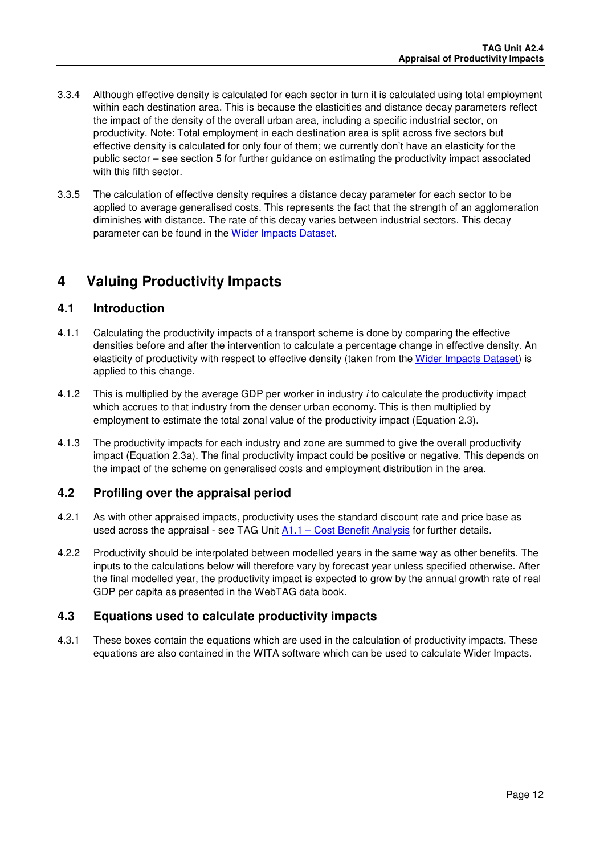- 3.3.4 Although effective density is calculated for each sector in turn it is calculated using total employment within each destination area. This is because the elasticities and distance decay parameters reflect the impact of the density of the overall urban area, including a specific industrial sector, on productivity. Note: Total employment in each destination area is split across five sectors but effective density is calculated for only four of them; we currently don't have an elasticity for the public sector – see section 5 for further guidance on estimating the productivity impact associated with this fifth sector.
- 3.3.5 The calculation of effective density requires a distance decay parameter for each sector to be applied to average generalised costs. This represents the fact that the strength of an agglomeration diminishes with distance. The rate of this decay varies between industrial sectors. This decay parameter can be found in the Wider Impacts Dataset.

# **4 Valuing Productivity Impacts**

### **4.1 Introduction**

- 4.1.1 Calculating the productivity impacts of a transport scheme is done by comparing the effective densities before and after the intervention to calculate a percentage change in effective density. An elasticity of productivity with respect to effective density (taken from the Wider Impacts Dataset) is applied to this change.
- 4.1.2 This is multiplied by the average GDP per worker in industry *i* to calculate the productivity impact which accrues to that industry from the denser urban economy. This is then multiplied by employment to estimate the total zonal value of the productivity impact (Equation 2.3).
- 4.1.3 The productivity impacts for each industry and zone are summed to give the overall productivity impact (Equation 2.3a). The final productivity impact could be positive or negative. This depends on the impact of the scheme on generalised costs and employment distribution in the area.

### **4.2 Profiling over the appraisal period**

- 4.2.1 As with other appraised impacts, productivity uses the standard discount rate and price base as used across the appraisal - see TAG Unit  $A1.1 - Cost$  Benefit Analysis for further details.
- 4.2.2 Productivity should be interpolated between modelled years in the same way as other benefits. The inputs to the calculations below will therefore vary by forecast year unless specified otherwise. After the final modelled year, the productivity impact is expected to grow by the annual growth rate of real GDP per capita as presented in the WebTAG data book.

### **4.3 Equations used to calculate productivity impacts**

4.3.1 These boxes contain the equations which are used in the calculation of productivity impacts. These equations are also contained in the WITA software which can be used to calculate Wider Impacts.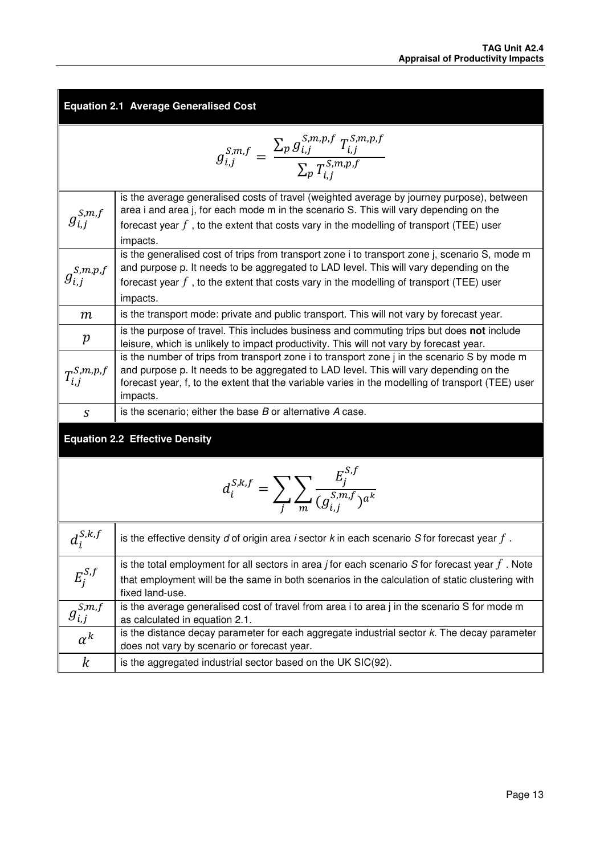| <b>Equation 2.1 Average Generalised Cost</b>                                                        |                                                                                                                                                                                                                                                                                                         |  |  |  |
|-----------------------------------------------------------------------------------------------------|---------------------------------------------------------------------------------------------------------------------------------------------------------------------------------------------------------------------------------------------------------------------------------------------------------|--|--|--|
| $g_{i,j}^{S,m,f} = \frac{\sum_{p} g_{i,j}^{S,m,p,f} T_{i,j}^{S,m,p,f}}{\sum_{n} T_{i,j}^{S,m,p,f}}$ |                                                                                                                                                                                                                                                                                                         |  |  |  |
| $g_{i,i}^{S,m,f}$                                                                                   | is the average generalised costs of travel (weighted average by journey purpose), between<br>area i and area j, for each mode m in the scenario S. This will vary depending on the<br>forecast year $f$ , to the extent that costs vary in the modelling of transport (TEE) user<br>impacts.            |  |  |  |
| $g_{i,j}^{S,m,p,f}$                                                                                 | is the generalised cost of trips from transport zone i to transport zone j, scenario S, mode m<br>and purpose p. It needs to be aggregated to LAD level. This will vary depending on the<br>forecast year $f$ , to the extent that costs vary in the modelling of transport (TEE) user<br>impacts.      |  |  |  |
| $\boldsymbol{m}$                                                                                    | is the transport mode: private and public transport. This will not vary by forecast year.                                                                                                                                                                                                               |  |  |  |
| p                                                                                                   | is the purpose of travel. This includes business and commuting trips but does not include<br>leisure, which is unlikely to impact productivity. This will not vary by forecast year.                                                                                                                    |  |  |  |
| $T_{i,j}^{\mathcal{S},m,p,f}$                                                                       | is the number of trips from transport zone i to transport zone j in the scenario S by mode m<br>and purpose p. It needs to be aggregated to LAD level. This will vary depending on the<br>forecast year, f, to the extent that the variable varies in the modelling of transport (TEE) user<br>impacts. |  |  |  |
| S                                                                                                   | is the scenario; either the base $B$ or alternative $A$ case.                                                                                                                                                                                                                                           |  |  |  |
| <b>Equation 2.2 Effective Density</b>                                                               |                                                                                                                                                                                                                                                                                                         |  |  |  |
| $d_i^{S,k,f} = \sum_i \sum_{m} \frac{E_j^{S,f}}{(q_i^{S,m,f})^{a^k}}$                               |                                                                                                                                                                                                                                                                                                         |  |  |  |

| $d_i^{S,k,f}$                | is the effective density $d$ of origin area i sector $k$ in each scenario $S$ for forecast year $f$ .                                                                                                                           |
|------------------------------|---------------------------------------------------------------------------------------------------------------------------------------------------------------------------------------------------------------------------------|
| $E_i^{S,f}$                  | is the total employment for all sectors in area <i>j</i> for each scenario S for forecast year $f$ . Note<br>that employment will be the same in both scenarios in the calculation of static clustering with<br>fixed land-use. |
| $g_{i,j}^{\overline{S,m,f}}$ | is the average generalised cost of travel from area i to area j in the scenario S for mode m<br>as calculated in equation 2.1.                                                                                                  |
| $\alpha^k$                   | is the distance decay parameter for each aggregate industrial sector $k$ . The decay parameter<br>does not vary by scenario or forecast year.                                                                                   |
| $\boldsymbol{k}$             | is the aggregated industrial sector based on the UK SIC(92).                                                                                                                                                                    |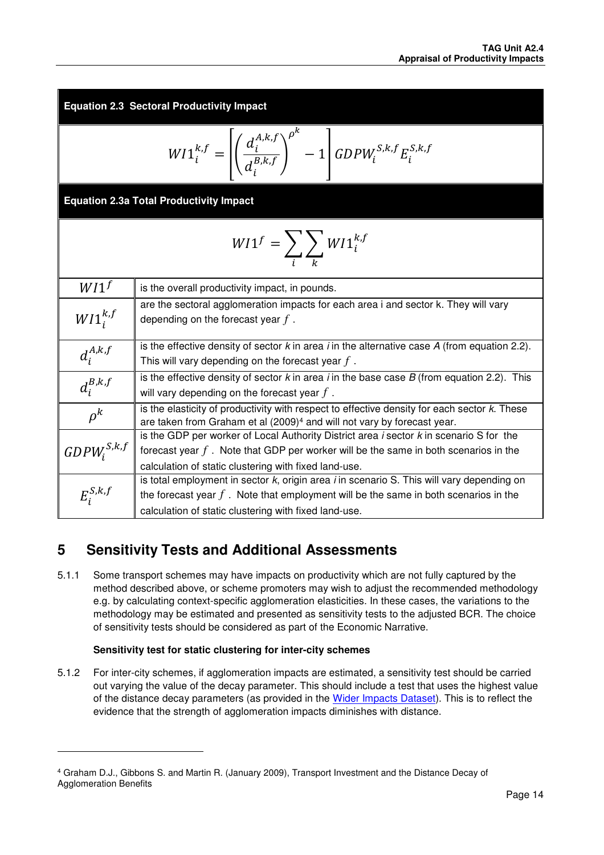**Equation 2.3 Sectoral Productivity Impact** 

$$
W I 1_i^{k,f} = \left[ \left( \frac{d_i^{A,k,f}}{d_i^{B,k,f}} \right)^{\rho^k} - 1 \right] GDP W_i^{S,k,f} E_i^{S,k,f}
$$

**Equation 2.3a Total Productivity Impact** 

$$
WI1^f = \sum_{i} \sum_{k} WI1_i^{k,f}
$$

| WI <sup>f</sup>  | is the overall productivity impact, in pounds.                                                                              |  |  |
|------------------|-----------------------------------------------------------------------------------------------------------------------------|--|--|
| $W I1^{k,f}_{i}$ | are the sectoral agglomeration impacts for each area i and sector k. They will vary<br>depending on the forecast year $f$ . |  |  |
|                  |                                                                                                                             |  |  |
|                  | is the effective density of sector $k$ in area <i>i</i> in the alternative case $A$ (from equation 2.2).                    |  |  |
| $d_i^{A,k,f}$    | This will vary depending on the forecast year $f$ .                                                                         |  |  |
|                  | is the effective density of sector $k$ in area <i>i</i> in the base case $B$ (from equation 2.2). This                      |  |  |
| $d_i^{B,k,f}$    | will vary depending on the forecast year $f$ .                                                                              |  |  |
| $\rho^k$         | is the elasticity of productivity with respect to effective density for each sector k. These                                |  |  |
|                  | are taken from Graham et al (2009) <sup>4</sup> and will not vary by forecast year.                                         |  |  |
|                  | is the GDP per worker of Local Authority District area $i$ sector $k$ in scenario S for the                                 |  |  |
| $GDPW_i^{S,k,f}$ | forecast year $f$ . Note that GDP per worker will be the same in both scenarios in the                                      |  |  |
|                  | calculation of static clustering with fixed land-use.                                                                       |  |  |
|                  | is total employment in sector k, origin area i in scenario S. This will vary depending on                                   |  |  |
| $E_i^{S,k,f}$    | the forecast year $f$ . Note that employment will be the same in both scenarios in the                                      |  |  |
|                  | calculation of static clustering with fixed land-use.                                                                       |  |  |

# **5 Sensitivity Tests and Additional Assessments**

5.1.1 Some transport schemes may have impacts on productivity which are not fully captured by the method described above, or scheme promoters may wish to adjust the recommended methodology e.g. by calculating context-specific agglomeration elasticities. In these cases, the variations to the methodology may be estimated and presented as sensitivity tests to the adjusted BCR. The choice of sensitivity tests should be considered as part of the Economic Narrative.

### **Sensitivity test for static clustering for inter-city schemes**

l

5.1.2 For inter-city schemes, if agglomeration impacts are estimated, a sensitivity test should be carried out varying the value of the decay parameter. This should include a test that uses the highest value of the distance decay parameters (as provided in the Wider Impacts Dataset). This is to reflect the evidence that the strength of agglomeration impacts diminishes with distance.

<sup>4</sup> Graham D.J., Gibbons S. and Martin R. (January 2009), Transport Investment and the Distance Decay of Agglomeration Benefits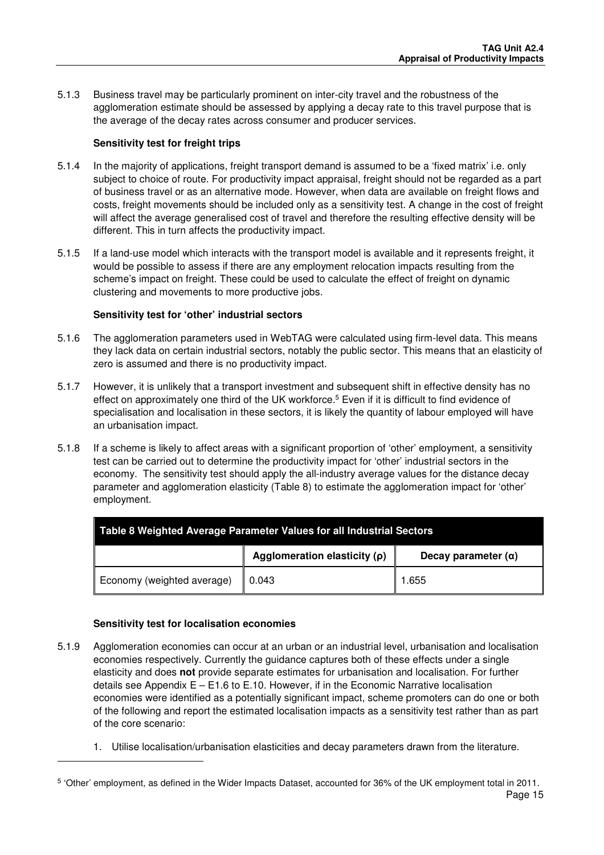5.1.3 Business travel may be particularly prominent on inter-city travel and the robustness of the agglomeration estimate should be assessed by applying a decay rate to this travel purpose that is the average of the decay rates across consumer and producer services.

### **Sensitivity test for freight trips**

- 5.1.4 In the majority of applications, freight transport demand is assumed to be a 'fixed matrix' i.e. only subject to choice of route. For productivity impact appraisal, freight should not be regarded as a part of business travel or as an alternative mode. However, when data are available on freight flows and costs, freight movements should be included only as a sensitivity test. A change in the cost of freight will affect the average generalised cost of travel and therefore the resulting effective density will be different. This in turn affects the productivity impact.
- 5.1.5 If a land-use model which interacts with the transport model is available and it represents freight, it would be possible to assess if there are any employment relocation impacts resulting from the scheme's impact on freight. These could be used to calculate the effect of freight on dynamic clustering and movements to more productive jobs.

### **Sensitivity test for 'other' industrial sectors**

- 5.1.6 The agglomeration parameters used in WebTAG were calculated using firm-level data. This means they lack data on certain industrial sectors, notably the public sector. This means that an elasticity of zero is assumed and there is no productivity impact.
- 5.1.7 However, it is unlikely that a transport investment and subsequent shift in effective density has no effect on approximately one third of the UK workforce.<sup>5</sup> Even if it is difficult to find evidence of specialisation and localisation in these sectors, it is likely the quantity of labour employed will have an urbanisation impact.
- 5.1.8 If a scheme is likely to affect areas with a significant proportion of 'other' employment, a sensitivity test can be carried out to determine the productivity impact for 'other' industrial sectors in the economy. The sensitivity test should apply the all-industry average values for the distance decay parameter and agglomeration elasticity (Table 8) to estimate the agglomeration impact for 'other' employment.

| Table 8 Weighted Average Parameter Values for all Industrial Sectors |                   |                            |  |
|----------------------------------------------------------------------|-------------------|----------------------------|--|
| Agglomeration elasticity $(p)$                                       |                   | Decay parameter $(\alpha)$ |  |
| Economy (weighted average)                                           | $\parallel$ 0.043 | 1.655                      |  |

### **Sensitivity test for localisation economies**

-

- 5.1.9 Agglomeration economies can occur at an urban or an industrial level, urbanisation and localisation economies respectively. Currently the guidance captures both of these effects under a single elasticity and does **not** provide separate estimates for urbanisation and localisation. For further details see Appendix  $E - E1.6$  to E.10. However, if in the Economic Narrative localisation economies were identified as a potentially significant impact, scheme promoters can do one or both of the following and report the estimated localisation impacts as a sensitivity test rather than as part of the core scenario:
	- 1. Utilise localisation/urbanisation elasticities and decay parameters drawn from the literature.

Page 15 5 'Other' employment, as defined in the Wider Impacts Dataset, accounted for 36% of the UK employment total in 2011.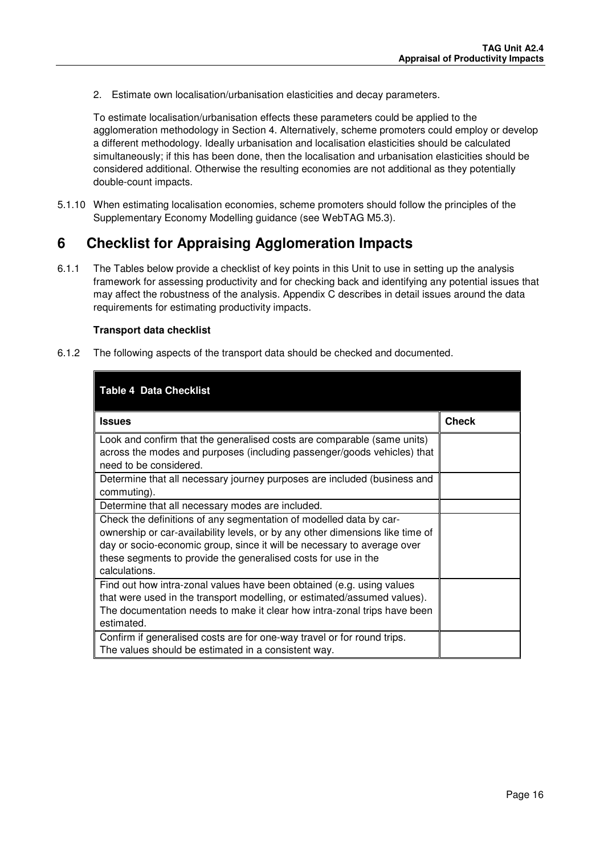2. Estimate own localisation/urbanisation elasticities and decay parameters.

To estimate localisation/urbanisation effects these parameters could be applied to the agglomeration methodology in Section 4. Alternatively, scheme promoters could employ or develop a different methodology. Ideally urbanisation and localisation elasticities should be calculated simultaneously; if this has been done, then the localisation and urbanisation elasticities should be considered additional. Otherwise the resulting economies are not additional as they potentially double-count impacts.

5.1.10 When estimating localisation economies, scheme promoters should follow the principles of the Supplementary Economy Modelling guidance (see WebTAG M5.3).

## **6 Checklist for Appraising Agglomeration Impacts**

6.1.1 The Tables below provide a checklist of key points in this Unit to use in setting up the analysis framework for assessing productivity and for checking back and identifying any potential issues that may affect the robustness of the analysis. Appendix C describes in detail issues around the data requirements for estimating productivity impacts.

#### **Transport data checklist**

6.1.2 The following aspects of the transport data should be checked and documented.

| <b>Table 4 Data Checklist</b>                                                                                                                                                                                                                                                                                     |              |
|-------------------------------------------------------------------------------------------------------------------------------------------------------------------------------------------------------------------------------------------------------------------------------------------------------------------|--------------|
| <b>Issues</b>                                                                                                                                                                                                                                                                                                     | <b>Check</b> |
| Look and confirm that the generalised costs are comparable (same units)<br>across the modes and purposes (including passenger/goods vehicles) that<br>need to be considered.                                                                                                                                      |              |
| Determine that all necessary journey purposes are included (business and<br>commuting).                                                                                                                                                                                                                           |              |
| Determine that all necessary modes are included.                                                                                                                                                                                                                                                                  |              |
| Check the definitions of any segmentation of modelled data by car-<br>ownership or car-availability levels, or by any other dimensions like time of<br>day or socio-economic group, since it will be necessary to average over<br>these segments to provide the generalised costs for use in the<br>calculations. |              |
| Find out how intra-zonal values have been obtained (e.g. using values<br>that were used in the transport modelling, or estimated/assumed values).<br>The documentation needs to make it clear how intra-zonal trips have been<br>estimated.                                                                       |              |
| Confirm if generalised costs are for one-way travel or for round trips.<br>The values should be estimated in a consistent way.                                                                                                                                                                                    |              |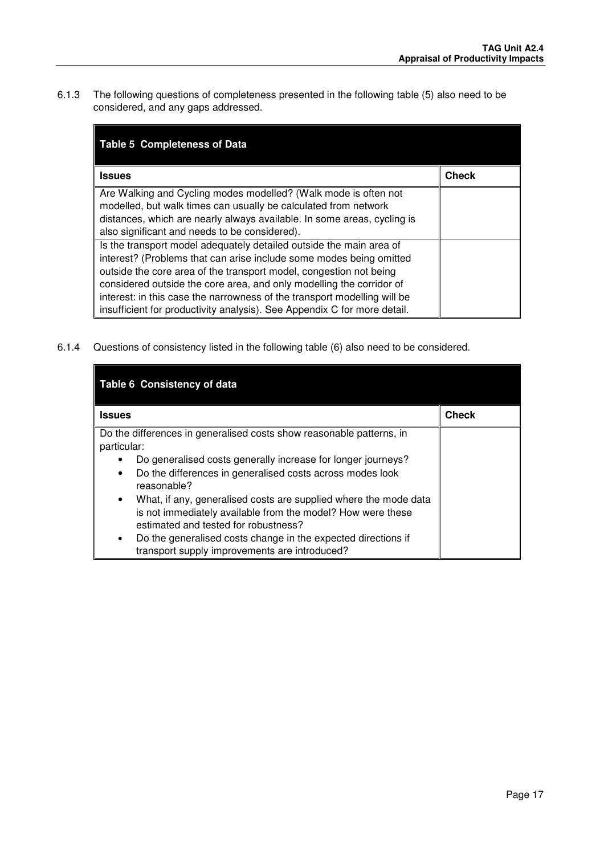6.1.3 The following questions of completeness presented in the following table (5) also need to be considered, and any gaps addressed.

| <b>Table 5 Completeness of Data</b>                                                                                                                                                                                                                                                                                                                                                                                                              |              |
|--------------------------------------------------------------------------------------------------------------------------------------------------------------------------------------------------------------------------------------------------------------------------------------------------------------------------------------------------------------------------------------------------------------------------------------------------|--------------|
| <b>Issues</b>                                                                                                                                                                                                                                                                                                                                                                                                                                    | <b>Check</b> |
| Are Walking and Cycling modes modelled? (Walk mode is often not<br>modelled, but walk times can usually be calculated from network<br>distances, which are nearly always available. In some areas, cycling is<br>also significant and needs to be considered).                                                                                                                                                                                   |              |
| Is the transport model adequately detailed outside the main area of<br>interest? (Problems that can arise include some modes being omitted<br>outside the core area of the transport model, congestion not being<br>considered outside the core area, and only modelling the corridor of<br>interest: in this case the narrowness of the transport modelling will be<br>insufficient for productivity analysis). See Appendix C for more detail. |              |

6.1.4 Questions of consistency listed in the following table (6) also need to be considered.

| Table 6 Consistency of data                                                                                                                                                          |              |
|--------------------------------------------------------------------------------------------------------------------------------------------------------------------------------------|--------------|
| <b>Issues</b>                                                                                                                                                                        | <b>Check</b> |
| Do the differences in generalised costs show reasonable patterns, in<br>particular:                                                                                                  |              |
| Do generalised costs generally increase for longer journeys?                                                                                                                         |              |
| Do the differences in generalised costs across modes look<br>$\bullet$<br>reasonable?                                                                                                |              |
| What, if any, generalised costs are supplied where the mode data<br>$\bullet$<br>is not immediately available from the model? How were these<br>estimated and tested for robustness? |              |
| Do the generalised costs change in the expected directions if<br>$\bullet$<br>transport supply improvements are introduced?                                                          |              |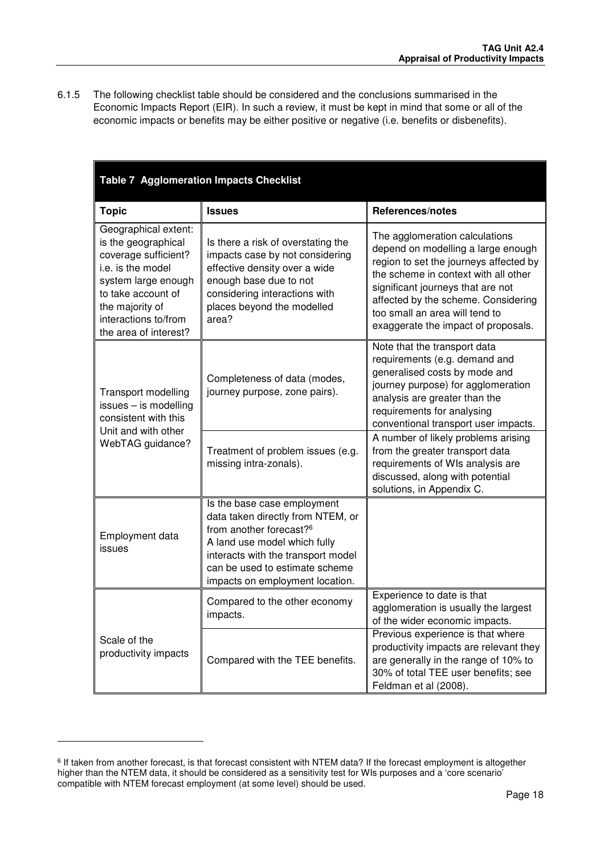6.1.5 The following checklist table should be considered and the conclusions summarised in the Economic Impacts Report (EIR). In such a review, it must be kept in mind that some or all of the economic impacts or benefits may be either positive or negative (i.e. benefits or disbenefits).

| <b>Table 7 Agglomeration Impacts Checklist</b>                                                                                                                                                            |                                                                                                                                                                                                                                                    |                                                                                                                                                                                                                                                                                                             |  |
|-----------------------------------------------------------------------------------------------------------------------------------------------------------------------------------------------------------|----------------------------------------------------------------------------------------------------------------------------------------------------------------------------------------------------------------------------------------------------|-------------------------------------------------------------------------------------------------------------------------------------------------------------------------------------------------------------------------------------------------------------------------------------------------------------|--|
| <b>Topic</b>                                                                                                                                                                                              | <b>Issues</b>                                                                                                                                                                                                                                      | References/notes                                                                                                                                                                                                                                                                                            |  |
| Geographical extent:<br>is the geographical<br>coverage sufficient?<br>i.e. is the model<br>system large enough<br>to take account of<br>the majority of<br>interactions to/from<br>the area of interest? | Is there a risk of overstating the<br>impacts case by not considering<br>effective density over a wide<br>enough base due to not<br>considering interactions with<br>places beyond the modelled<br>area?                                           | The agglomeration calculations<br>depend on modelling a large enough<br>region to set the journeys affected by<br>the scheme in context with all other<br>significant journeys that are not<br>affected by the scheme. Considering<br>too small an area will tend to<br>exaggerate the impact of proposals. |  |
| Transport modelling<br>issues - is modelling<br>consistent with this<br>Unit and with other                                                                                                               | Completeness of data (modes,<br>journey purpose, zone pairs).                                                                                                                                                                                      | Note that the transport data<br>requirements (e.g. demand and<br>generalised costs by mode and<br>journey purpose) for agglomeration<br>analysis are greater than the<br>requirements for analysing<br>conventional transport user impacts.                                                                 |  |
| WebTAG guidance?                                                                                                                                                                                          | Treatment of problem issues (e.g.<br>missing intra-zonals).                                                                                                                                                                                        | A number of likely problems arising<br>from the greater transport data<br>requirements of WIs analysis are<br>discussed, along with potential<br>solutions, in Appendix C.                                                                                                                                  |  |
| Employment data<br>issues                                                                                                                                                                                 | Is the base case employment<br>data taken directly from NTEM, or<br>from another forecast? <sup>6</sup><br>A land use model which fully<br>interacts with the transport model<br>can be used to estimate scheme<br>impacts on employment location. |                                                                                                                                                                                                                                                                                                             |  |
|                                                                                                                                                                                                           | Compared to the other economy<br>impacts.                                                                                                                                                                                                          | Experience to date is that<br>agglomeration is usually the largest<br>of the wider economic impacts.                                                                                                                                                                                                        |  |
| Scale of the<br>productivity impacts                                                                                                                                                                      | Compared with the TEE benefits.                                                                                                                                                                                                                    | Previous experience is that where<br>productivity impacts are relevant they<br>are generally in the range of 10% to<br>30% of total TEE user benefits; see<br>Feldman et al (2008).                                                                                                                         |  |

l

<sup>&</sup>lt;sup>6</sup> If taken from another forecast, is that forecast consistent with NTEM data? If the forecast employment is altogether higher than the NTEM data, it should be considered as a sensitivity test for WIs purposes and a 'core scenario' compatible with NTEM forecast employment (at some level) should be used.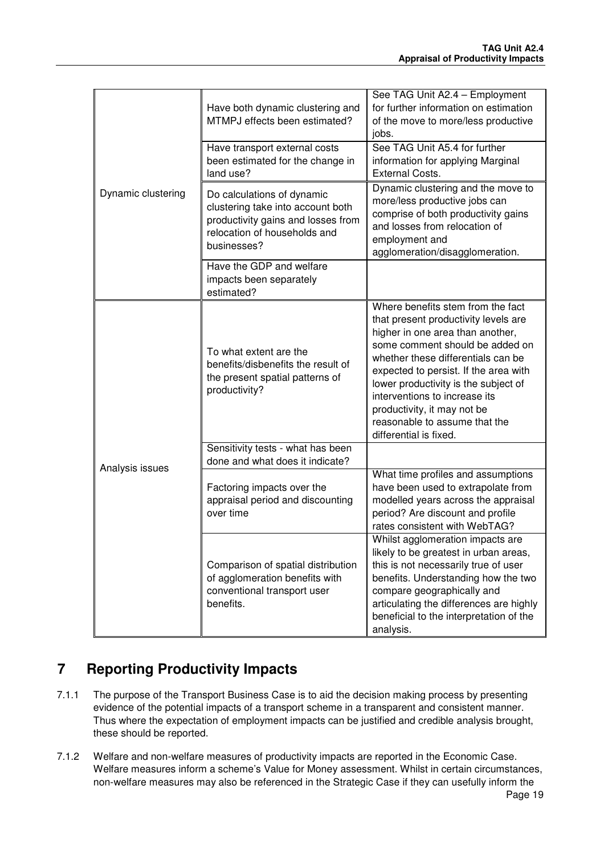|                    | Have both dynamic clustering and<br>MTMPJ effects been estimated?                                                                                    | See TAG Unit A2.4 - Employment<br>for further information on estimation<br>of the move to more/less productive<br>jobs.                                                                                                                                                                                                                                                                            |
|--------------------|------------------------------------------------------------------------------------------------------------------------------------------------------|----------------------------------------------------------------------------------------------------------------------------------------------------------------------------------------------------------------------------------------------------------------------------------------------------------------------------------------------------------------------------------------------------|
|                    | Have transport external costs<br>been estimated for the change in<br>land use?                                                                       | See TAG Unit A5.4 for further<br>information for applying Marginal<br><b>External Costs.</b>                                                                                                                                                                                                                                                                                                       |
| Dynamic clustering | Do calculations of dynamic<br>clustering take into account both<br>productivity gains and losses from<br>relocation of households and<br>businesses? | Dynamic clustering and the move to<br>more/less productive jobs can<br>comprise of both productivity gains<br>and losses from relocation of<br>employment and<br>agglomeration/disagglomeration.                                                                                                                                                                                                   |
|                    | Have the GDP and welfare<br>impacts been separately<br>estimated?                                                                                    |                                                                                                                                                                                                                                                                                                                                                                                                    |
|                    | To what extent are the<br>benefits/disbenefits the result of<br>the present spatial patterns of<br>productivity?                                     | Where benefits stem from the fact<br>that present productivity levels are<br>higher in one area than another,<br>some comment should be added on<br>whether these differentials can be<br>expected to persist. If the area with<br>lower productivity is the subject of<br>interventions to increase its<br>productivity, it may not be<br>reasonable to assume that the<br>differential is fixed. |
|                    | Sensitivity tests - what has been<br>done and what does it indicate?                                                                                 |                                                                                                                                                                                                                                                                                                                                                                                                    |
| Analysis issues    | Factoring impacts over the<br>appraisal period and discounting<br>over time                                                                          | What time profiles and assumptions<br>have been used to extrapolate from<br>modelled years across the appraisal<br>period? Are discount and profile<br>rates consistent with WebTAG?                                                                                                                                                                                                               |
|                    | Comparison of spatial distribution<br>of agglomeration benefits with<br>conventional transport user<br>benefits.                                     | Whilst agglomeration impacts are<br>likely to be greatest in urban areas,<br>this is not necessarily true of user<br>benefits. Understanding how the two<br>compare geographically and<br>articulating the differences are highly<br>beneficial to the interpretation of the<br>analysis.                                                                                                          |

# **7 Reporting Productivity Impacts**

- 7.1.1 The purpose of the Transport Business Case is to aid the decision making process by presenting evidence of the potential impacts of a transport scheme in a transparent and consistent manner. Thus where the expectation of employment impacts can be justified and credible analysis brought, these should be reported.
- 7.1.2 Welfare and non-welfare measures of productivity impacts are reported in the Economic Case. Welfare measures inform a scheme's Value for Money assessment. Whilst in certain circumstances, non-welfare measures may also be referenced in the Strategic Case if they can usefully inform the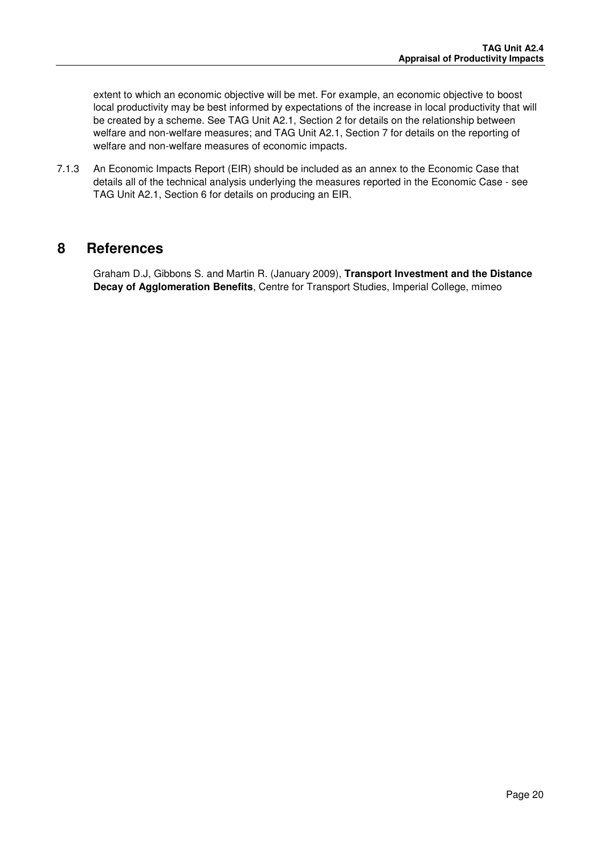extent to which an economic objective will be met. For example, an economic objective to boost local productivity may be best informed by expectations of the increase in local productivity that will be created by a scheme. See TAG Unit A2.1, Section 2 for details on the relationship between welfare and non-welfare measures; and TAG Unit A2.1, Section 7 for details on the reporting of welfare and non-welfare measures of economic impacts.

7.1.3 An Economic Impacts Report (EIR) should be included as an annex to the Economic Case that details all of the technical analysis underlying the measures reported in the Economic Case - see TAG Unit A2.1, Section 6 for details on producing an EIR.

### **8 References**

Graham D.J, Gibbons S. and Martin R. (January 2009), **Transport Investment and the Distance Decay of Agglomeration Benefits**, Centre for Transport Studies, Imperial College, mimeo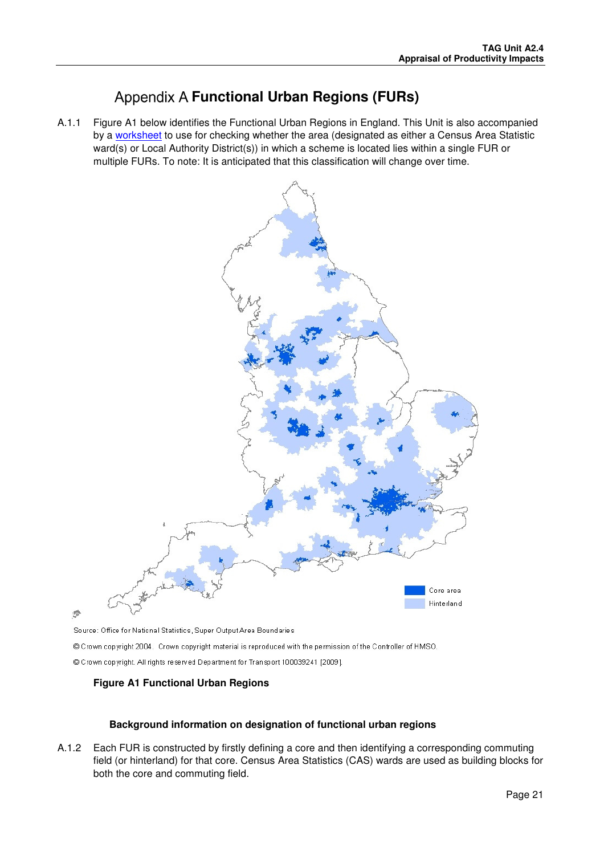# **Appendix A Functional Urban Regions (FURs)**

A.1.1 Figure A1 below identifies the Functional Urban Regions in England. This Unit is also accompanied by a worksheet to use for checking whether the area (designated as either a Census Area Statistic ward(s) or Local Authority District(s)) in which a scheme is located lies within a single FUR or multiple FURs. To note: It is anticipated that this classification will change over time.



零

Source: Office for National Statistics, Super Output Area Boundaries

© Crown copyright 2004. Crown copyright material is reproduced with the permission of the Controller of HMSO. © Crown copyright. All rights reserved Department for Transport 100039241 [2009].

### **Figure A1 Functional Urban Regions**

### **Background information on designation of functional urban regions**

A.1.2 Each FUR is constructed by firstly defining a core and then identifying a corresponding commuting field (or hinterland) for that core. Census Area Statistics (CAS) wards are used as building blocks for both the core and commuting field.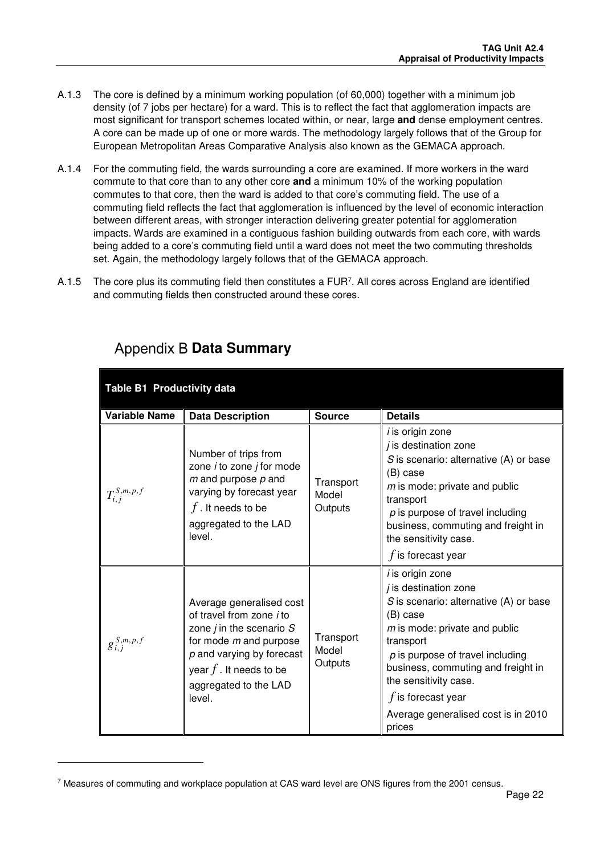- A.1.3 The core is defined by a minimum working population (of 60,000) together with a minimum job density (of 7 jobs per hectare) for a ward. This is to reflect the fact that agglomeration impacts are most significant for transport schemes located within, or near, large **and** dense employment centres. A core can be made up of one or more wards. The methodology largely follows that of the Group for European Metropolitan Areas Comparative Analysis also known as the GEMACA approach.
- A.1.4 For the commuting field, the wards surrounding a core are examined. If more workers in the ward commute to that core than to any other core **and** a minimum 10% of the working population commutes to that core, then the ward is added to that core's commuting field. The use of a commuting field reflects the fact that agglomeration is influenced by the level of economic interaction between different areas, with stronger interaction delivering greater potential for agglomeration impacts. Wards are examined in a contiguous fashion building outwards from each core, with wards being added to a core's commuting field until a ward does not meet the two commuting thresholds set. Again, the methodology largely follows that of the GEMACA approach.
- A.1.5 The core plus its commuting field then constitutes a FUR<sup>7</sup>. All cores across England are identified and commuting fields then constructed around these cores.

| Table B1 Productivity data |                                                                                                                                                                                                                        |                               |                                                                                                                                                                                                                                                                                                                                             |
|----------------------------|------------------------------------------------------------------------------------------------------------------------------------------------------------------------------------------------------------------------|-------------------------------|---------------------------------------------------------------------------------------------------------------------------------------------------------------------------------------------------------------------------------------------------------------------------------------------------------------------------------------------|
| <b>Variable Name</b>       | <b>Data Description</b>                                                                                                                                                                                                | <b>Source</b>                 | <b>Details</b>                                                                                                                                                                                                                                                                                                                              |
| $T_{i,i}^{S,m,p,f}$        | Number of trips from<br>zone <i>i</i> to zone <i>j</i> for mode<br>$m$ and purpose $p$ and<br>varying by forecast year<br>$f$ . It needs to be<br>aggregated to the LAD<br>level.                                      | Transport<br>Model<br>Outputs | <i>i</i> is origin zone<br><i>j</i> is destination zone<br>S is scenario: alternative (A) or base<br>(B) case<br>$m$ is mode: private and public<br>transport<br>$p$ is purpose of travel including<br>business, commuting and freight in<br>the sensitivity case.<br>$f$ is forecast year                                                  |
| $g_{i,j}^{S,m,p,f}$        | Average generalised cost<br>of travel from zone <i>i</i> to<br>zone $j$ in the scenario $S$<br>for mode $m$ and purpose<br>$p$ and varying by forecast<br>year $f$ . It needs to be<br>aggregated to the LAD<br>level. | Transport<br>Model<br>Outputs | <i>i</i> is origin zone<br><i>j</i> is destination zone<br>S is scenario: alternative (A) or base<br>(B) case<br>$m$ is mode: private and public<br>transport<br>$p$ is purpose of travel including<br>business, commuting and freight in<br>the sensitivity case.<br>$f$ is forecast year<br>Average generalised cost is in 2010<br>prices |

# **Appendix B Data Summary**

l

<sup>&</sup>lt;sup>7</sup> Measures of commuting and workplace population at CAS ward level are ONS figures from the 2001 census.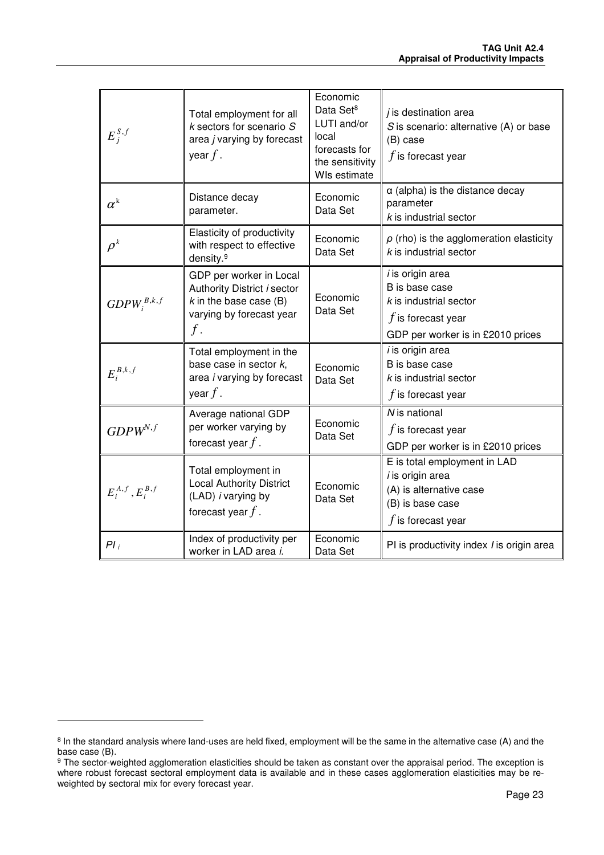| $E_j^{S,f}$                   | Total employment for all<br>$k$ sectors for scenario $S$<br>area j varying by forecast<br>year $f$ .                    | Economic<br>Data Set <sup>8</sup><br>LUTI and/or<br>local<br>forecasts for<br>the sensitivity<br>WIs estimate | $j$ is destination area<br>$S$ is scenario: alternative (A) or base<br>(B) case<br>$f$ is forecast year                            |
|-------------------------------|-------------------------------------------------------------------------------------------------------------------------|---------------------------------------------------------------------------------------------------------------|------------------------------------------------------------------------------------------------------------------------------------|
| $\alpha^{\text{k}}$           | Distance decay<br>parameter.                                                                                            | Economic<br>Data Set                                                                                          | $\alpha$ (alpha) is the distance decay<br>parameter<br>$k$ is industrial sector                                                    |
| $\rho^{\scriptscriptstyle k}$ | Elasticity of productivity<br>with respect to effective<br>density. <sup>9</sup>                                        | Economic<br>Data Set                                                                                          | $\rho$ (rho) is the agglomeration elasticity<br>$k$ is industrial sector                                                           |
| $GDPW_i^{B,k,f}$              | GDP per worker in Local<br>Authority District i sector<br>$k$ in the base case (B)<br>varying by forecast year<br>$f$ . | Economic<br>Data Set                                                                                          | <i>i</i> is origin area<br>B is base case<br>$k$ is industrial sector<br>$f$ is forecast year<br>GDP per worker is in £2010 prices |
| $E_i^{B,k,f}$                 | Total employment in the<br>base case in sector $k$ ,<br>area i varying by forecast<br>year $f$ .                        | Economic<br>Data Set                                                                                          | i is origin area<br>B is base case<br>$k$ is industrial sector<br>$f$ is forecast year                                             |
| $GDPW^{N,f}$                  | Average national GDP<br>per worker varying by<br>forecast year $f$ .                                                    | Economic<br>Data Set                                                                                          | N is national<br>$f$ is forecast year<br>GDP per worker is in £2010 prices                                                         |
| $E_i^{A,f}, E_i^{B,f}$        | Total employment in<br><b>Local Authority District</b><br>(LAD) <i>i</i> varying by<br>forecast year $f$ .              | Economic<br>Data Set                                                                                          | E is total employment in LAD<br><i>i</i> is origin area<br>(A) is alternative case<br>(B) is base case<br>$f$ is forecast year     |
| $PI_i$                        | Index of productivity per<br>worker in LAD area <i>i</i> .                                                              | Economic<br>Data Set                                                                                          | PI is productivity index <i>I</i> is origin area                                                                                   |

l

<sup>&</sup>lt;sup>8</sup> In the standard analysis where land-uses are held fixed, employment will be the same in the alternative case (A) and the base case (B).

<sup>&</sup>lt;sup>9</sup> The sector-weighted agglomeration elasticities should be taken as constant over the appraisal period. The exception is where robust forecast sectoral employment data is available and in these cases agglomeration elasticities may be reweighted by sectoral mix for every forecast year.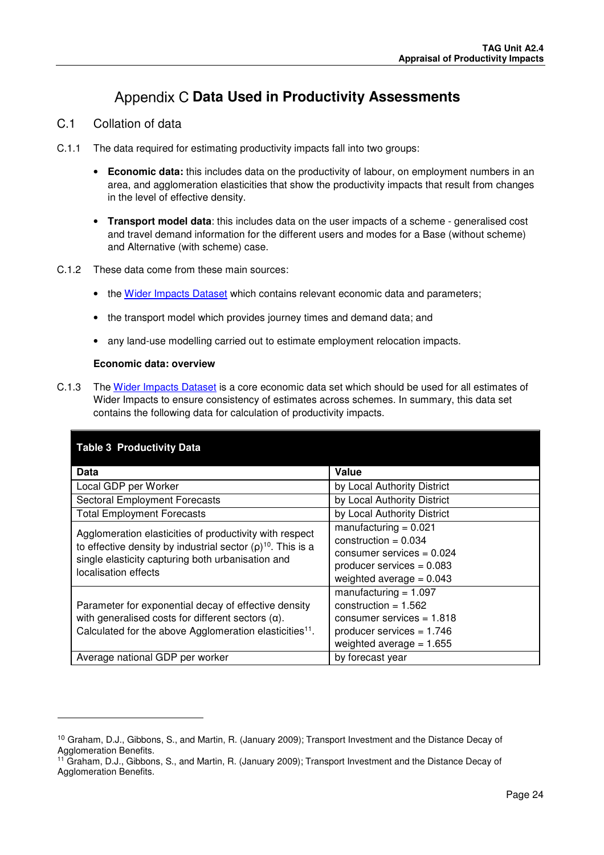# **Appendix C Data Used in Productivity Assessments**

### C.1 Collation of data

- C.1.1 The data required for estimating productivity impacts fall into two groups:
	- **Economic data:** this includes data on the productivity of labour, on employment numbers in an area, and agglomeration elasticities that show the productivity impacts that result from changes in the level of effective density.
	- **Transport model data**: this includes data on the user impacts of a scheme generalised cost and travel demand information for the different users and modes for a Base (without scheme) and Alternative (with scheme) case.
- C.1.2 These data come from these main sources:
	- the Wider Impacts Dataset which contains relevant economic data and parameters;
	- the transport model which provides journey times and demand data; and
	- any land-use modelling carried out to estimate employment relocation impacts.

#### **Economic data: overview**

l

C.1.3 The Wider Impacts Dataset is a core economic data set which should be used for all estimates of Wider Impacts to ensure consistency of estimates across schemes. In summary, this data set contains the following data for calculation of productivity impacts.

| <b>Table 3 Productivity Data</b>                                                                                                                                                                         |                                                                                                                                               |  |  |  |
|----------------------------------------------------------------------------------------------------------------------------------------------------------------------------------------------------------|-----------------------------------------------------------------------------------------------------------------------------------------------|--|--|--|
| <b>Data</b>                                                                                                                                                                                              | <b>Value</b>                                                                                                                                  |  |  |  |
| Local GDP per Worker                                                                                                                                                                                     | by Local Authority District                                                                                                                   |  |  |  |
| <b>Sectoral Employment Forecasts</b>                                                                                                                                                                     | by Local Authority District                                                                                                                   |  |  |  |
| <b>Total Employment Forecasts</b>                                                                                                                                                                        | by Local Authority District                                                                                                                   |  |  |  |
| Agglomeration elasticities of productivity with respect<br>to effective density by industrial sector $(p)^{10}$ . This is a<br>single elasticity capturing both urbanisation and<br>localisation effects | manufacturing $= 0.021$<br>construction = $0.034$<br>consumer services = $0.024$<br>producer services $= 0.083$<br>weighted average = $0.043$ |  |  |  |
| Parameter for exponential decay of effective density<br>with generalised costs for different sectors $(\alpha)$ .<br>Calculated for the above Agglomeration elasticities <sup>11</sup> .                 | manufacturing $= 1.097$<br>construction = $1.562$<br>consumer services = $1.818$<br>producer services = $1.746$<br>weighted average = $1.655$ |  |  |  |
| Average national GDP per worker                                                                                                                                                                          | by forecast year                                                                                                                              |  |  |  |

<sup>10</sup> Graham, D.J., Gibbons, S., and Martin, R. (January 2009); Transport Investment and the Distance Decay of Agglomeration Benefits.

<sup>&</sup>lt;sup>11</sup> Graham, D.J., Gibbons, S., and Martin, R. (January 2009); Transport Investment and the Distance Decay of Agglomeration Benefits.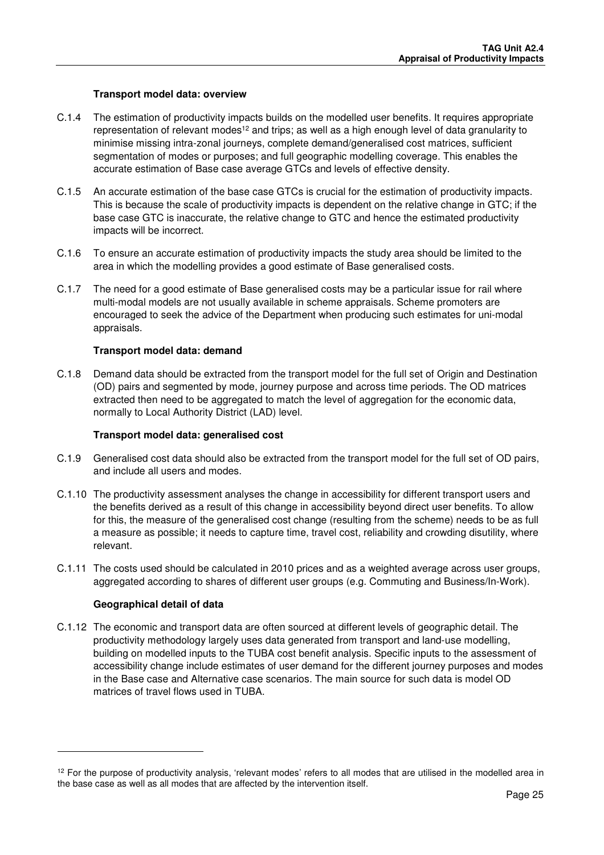#### **Transport model data: overview**

- C.1.4 The estimation of productivity impacts builds on the modelled user benefits. It requires appropriate representation of relevant modes<sup>12</sup> and trips; as well as a high enough level of data granularity to minimise missing intra-zonal journeys, complete demand/generalised cost matrices, sufficient segmentation of modes or purposes; and full geographic modelling coverage. This enables the accurate estimation of Base case average GTCs and levels of effective density.
- C.1.5 An accurate estimation of the base case GTCs is crucial for the estimation of productivity impacts. This is because the scale of productivity impacts is dependent on the relative change in GTC; if the base case GTC is inaccurate, the relative change to GTC and hence the estimated productivity impacts will be incorrect.
- C.1.6 To ensure an accurate estimation of productivity impacts the study area should be limited to the area in which the modelling provides a good estimate of Base generalised costs.
- C.1.7 The need for a good estimate of Base generalised costs may be a particular issue for rail where multi-modal models are not usually available in scheme appraisals. Scheme promoters are encouraged to seek the advice of the Department when producing such estimates for uni-modal appraisals.

#### **Transport model data: demand**

C.1.8 Demand data should be extracted from the transport model for the full set of Origin and Destination (OD) pairs and segmented by mode, journey purpose and across time periods. The OD matrices extracted then need to be aggregated to match the level of aggregation for the economic data, normally to Local Authority District (LAD) level.

#### **Transport model data: generalised cost**

- C.1.9 Generalised cost data should also be extracted from the transport model for the full set of OD pairs, and include all users and modes.
- C.1.10 The productivity assessment analyses the change in accessibility for different transport users and the benefits derived as a result of this change in accessibility beyond direct user benefits. To allow for this, the measure of the generalised cost change (resulting from the scheme) needs to be as full a measure as possible; it needs to capture time, travel cost, reliability and crowding disutility, where relevant.
- C.1.11 The costs used should be calculated in 2010 prices and as a weighted average across user groups, aggregated according to shares of different user groups (e.g. Commuting and Business/In-Work).

#### **Geographical detail of data**

l

C.1.12 The economic and transport data are often sourced at different levels of geographic detail. The productivity methodology largely uses data generated from transport and land-use modelling, building on modelled inputs to the TUBA cost benefit analysis. Specific inputs to the assessment of accessibility change include estimates of user demand for the different journey purposes and modes in the Base case and Alternative case scenarios. The main source for such data is model OD matrices of travel flows used in TUBA.

 $12$  For the purpose of productivity analysis, 'relevant modes' refers to all modes that are utilised in the modelled area in the base case as well as all modes that are affected by the intervention itself.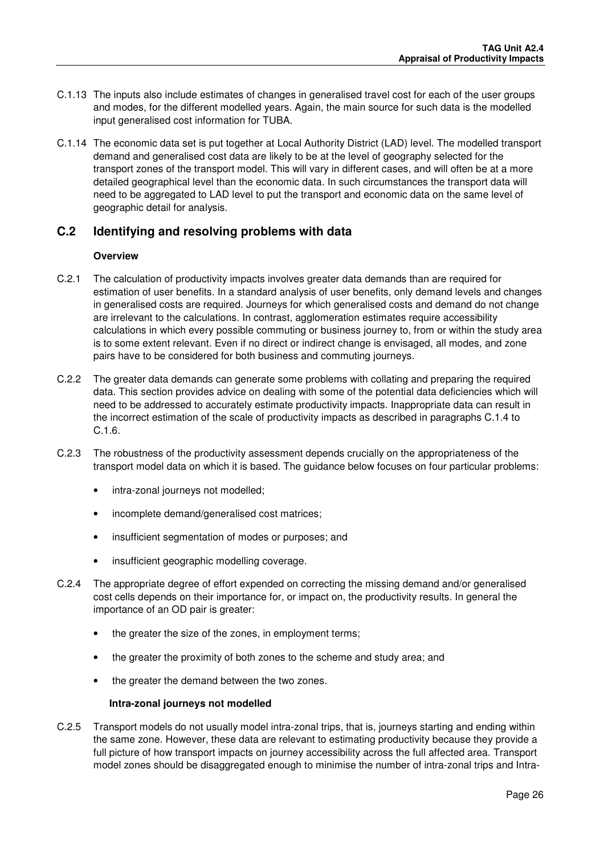- C.1.13 The inputs also include estimates of changes in generalised travel cost for each of the user groups and modes, for the different modelled years. Again, the main source for such data is the modelled input generalised cost information for TUBA.
- C.1.14 The economic data set is put together at Local Authority District (LAD) level. The modelled transport demand and generalised cost data are likely to be at the level of geography selected for the transport zones of the transport model. This will vary in different cases, and will often be at a more detailed geographical level than the economic data. In such circumstances the transport data will need to be aggregated to LAD level to put the transport and economic data on the same level of geographic detail for analysis.

### **C.2 Identifying and resolving problems with data**

#### **Overview**

- C.2.1 The calculation of productivity impacts involves greater data demands than are required for estimation of user benefits. In a standard analysis of user benefits, only demand levels and changes in generalised costs are required. Journeys for which generalised costs and demand do not change are irrelevant to the calculations. In contrast, agglomeration estimates require accessibility calculations in which every possible commuting or business journey to, from or within the study area is to some extent relevant. Even if no direct or indirect change is envisaged, all modes, and zone pairs have to be considered for both business and commuting journeys.
- C.2.2 The greater data demands can generate some problems with collating and preparing the required data. This section provides advice on dealing with some of the potential data deficiencies which will need to be addressed to accurately estimate productivity impacts. Inappropriate data can result in the incorrect estimation of the scale of productivity impacts as described in paragraphs C.1.4 to C.1.6.
- C.2.3 The robustness of the productivity assessment depends crucially on the appropriateness of the transport model data on which it is based. The guidance below focuses on four particular problems:
	- intra-zonal journeys not modelled;
	- incomplete demand/generalised cost matrices;
	- insufficient segmentation of modes or purposes; and
	- insufficient geographic modelling coverage.
- C.2.4 The appropriate degree of effort expended on correcting the missing demand and/or generalised cost cells depends on their importance for, or impact on, the productivity results. In general the importance of an OD pair is greater:
	- the greater the size of the zones, in employment terms;
	- the greater the proximity of both zones to the scheme and study area; and
	- the greater the demand between the two zones.

### **Intra-zonal journeys not modelled**

C.2.5 Transport models do not usually model intra-zonal trips, that is, journeys starting and ending within the same zone. However, these data are relevant to estimating productivity because they provide a full picture of how transport impacts on journey accessibility across the full affected area. Transport model zones should be disaggregated enough to minimise the number of intra-zonal trips and Intra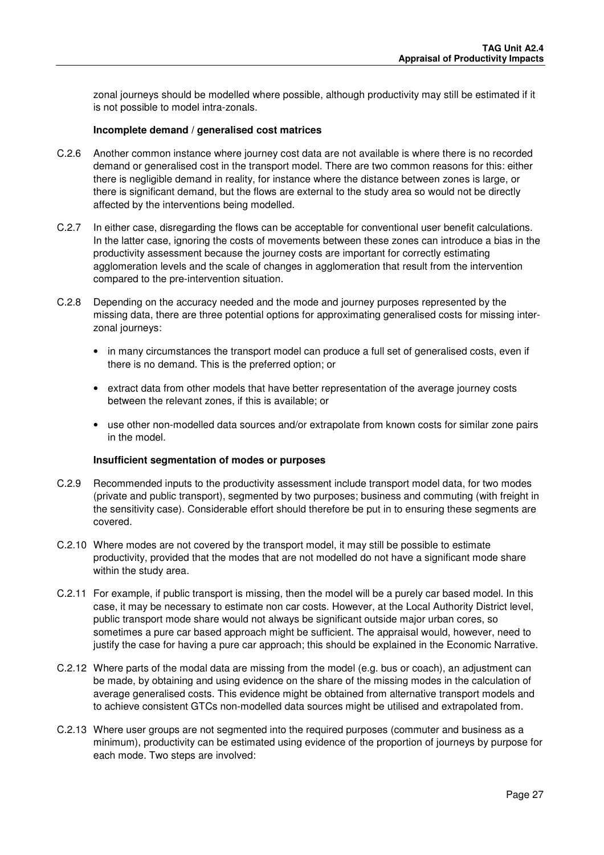zonal journeys should be modelled where possible, although productivity may still be estimated if it is not possible to model intra-zonals.

#### **Incomplete demand / generalised cost matrices**

- C.2.6 Another common instance where journey cost data are not available is where there is no recorded demand or generalised cost in the transport model. There are two common reasons for this: either there is negligible demand in reality, for instance where the distance between zones is large, or there is significant demand, but the flows are external to the study area so would not be directly affected by the interventions being modelled.
- C.2.7 In either case, disregarding the flows can be acceptable for conventional user benefit calculations. In the latter case, ignoring the costs of movements between these zones can introduce a bias in the productivity assessment because the journey costs are important for correctly estimating agglomeration levels and the scale of changes in agglomeration that result from the intervention compared to the pre-intervention situation.
- C.2.8 Depending on the accuracy needed and the mode and journey purposes represented by the missing data, there are three potential options for approximating generalised costs for missing interzonal journeys:
	- in many circumstances the transport model can produce a full set of generalised costs, even if there is no demand. This is the preferred option; or
	- extract data from other models that have better representation of the average journey costs between the relevant zones, if this is available; or
	- use other non-modelled data sources and/or extrapolate from known costs for similar zone pairs in the model.

#### **Insufficient segmentation of modes or purposes**

- C.2.9 Recommended inputs to the productivity assessment include transport model data, for two modes (private and public transport), segmented by two purposes; business and commuting (with freight in the sensitivity case). Considerable effort should therefore be put in to ensuring these segments are covered.
- C.2.10 Where modes are not covered by the transport model, it may still be possible to estimate productivity, provided that the modes that are not modelled do not have a significant mode share within the study area.
- C.2.11 For example, if public transport is missing, then the model will be a purely car based model. In this case, it may be necessary to estimate non car costs. However, at the Local Authority District level, public transport mode share would not always be significant outside major urban cores, so sometimes a pure car based approach might be sufficient. The appraisal would, however, need to justify the case for having a pure car approach; this should be explained in the Economic Narrative.
- C.2.12 Where parts of the modal data are missing from the model (e.g. bus or coach), an adjustment can be made, by obtaining and using evidence on the share of the missing modes in the calculation of average generalised costs. This evidence might be obtained from alternative transport models and to achieve consistent GTCs non-modelled data sources might be utilised and extrapolated from.
- C.2.13 Where user groups are not segmented into the required purposes (commuter and business as a minimum), productivity can be estimated using evidence of the proportion of journeys by purpose for each mode. Two steps are involved: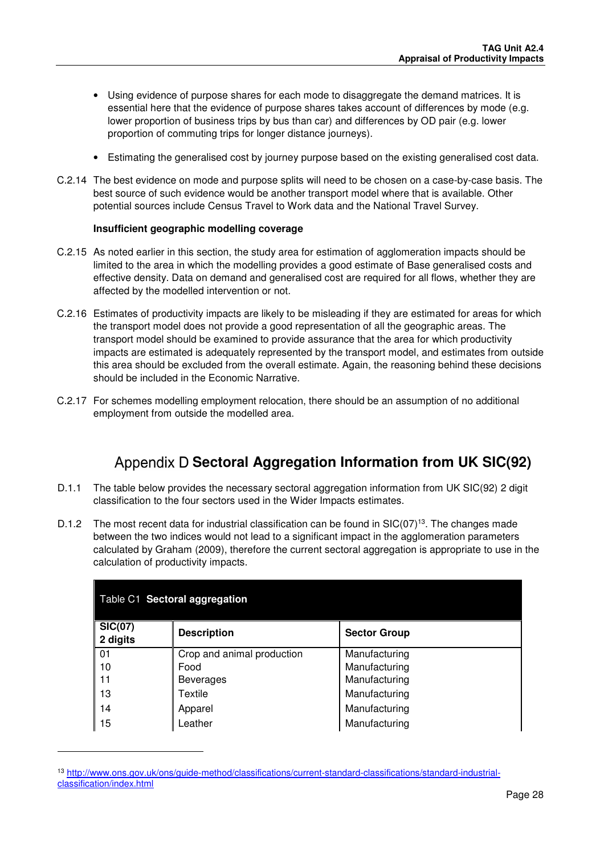- Using evidence of purpose shares for each mode to disaggregate the demand matrices. It is essential here that the evidence of purpose shares takes account of differences by mode (e.g. lower proportion of business trips by bus than car) and differences by OD pair (e.g. lower proportion of commuting trips for longer distance journeys).
- Estimating the generalised cost by journey purpose based on the existing generalised cost data.
- C.2.14 The best evidence on mode and purpose splits will need to be chosen on a case-by-case basis. The best source of such evidence would be another transport model where that is available. Other potential sources include Census Travel to Work data and the National Travel Survey.

#### **Insufficient geographic modelling coverage**

- C.2.15 As noted earlier in this section, the study area for estimation of agglomeration impacts should be limited to the area in which the modelling provides a good estimate of Base generalised costs and effective density. Data on demand and generalised cost are required for all flows, whether they are affected by the modelled intervention or not.
- C.2.16 Estimates of productivity impacts are likely to be misleading if they are estimated for areas for which the transport model does not provide a good representation of all the geographic areas. The transport model should be examined to provide assurance that the area for which productivity impacts are estimated is adequately represented by the transport model, and estimates from outside this area should be excluded from the overall estimate. Again, the reasoning behind these decisions should be included in the Economic Narrative.
- C.2.17 For schemes modelling employment relocation, there should be an assumption of no additional employment from outside the modelled area.

# Appendix D Sectoral Aggregation Information from UK SIC(92)

- D.1.1 The table below provides the necessary sectoral aggregation information from UK SIC(92) 2 digit classification to the four sectors used in the Wider Impacts estimates.
- D.1.2 The most recent data for industrial classification can be found in  $\text{SIC}(07)^{13}$ . The changes made between the two indices would not lead to a significant impact in the agglomeration parameters calculated by Graham (2009), therefore the current sectoral aggregation is appropriate to use in the calculation of productivity impacts.

| Table C1 Sectoral aggregation |                            |                     |  |  |
|-------------------------------|----------------------------|---------------------|--|--|
| <b>SIC(07)</b><br>2 digits    | <b>Description</b>         | <b>Sector Group</b> |  |  |
| $\vert$ 01                    | Crop and animal production | Manufacturing       |  |  |
| 10                            | Food                       | Manufacturing       |  |  |
| 11                            | <b>Beverages</b>           | Manufacturing       |  |  |
| 13                            | Textile                    | Manufacturing       |  |  |
| 14                            | Apparel                    | Manufacturing       |  |  |
| 15                            | Leather                    | Manufacturing       |  |  |

<sup>13</sup> http://www.ons.gov.uk/ons/guide-method/classifications/current-standard-classifications/standard-industrialclassification/index.html

l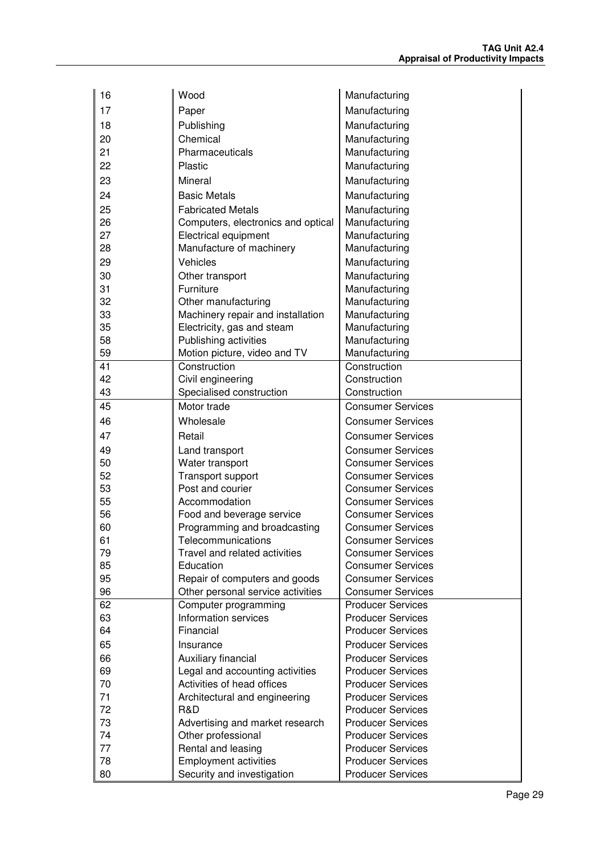| 16       | Wood                                               | Manufacturing                                        |
|----------|----------------------------------------------------|------------------------------------------------------|
| 17       | Paper                                              | Manufacturing                                        |
| 18       | Publishing                                         | Manufacturing                                        |
| 20       | Chemical                                           | Manufacturing                                        |
| 21       | Pharmaceuticals                                    | Manufacturing                                        |
| 22       | Plastic                                            | Manufacturing                                        |
| 23       | Mineral                                            | Manufacturing                                        |
| 24       | <b>Basic Metals</b>                                | Manufacturing                                        |
| 25       | <b>Fabricated Metals</b>                           | Manufacturing                                        |
| 26       | Computers, electronics and optical                 | Manufacturing                                        |
| 27       | Electrical equipment                               | Manufacturing                                        |
| 28       | Manufacture of machinery                           | Manufacturing                                        |
| 29       | Vehicles                                           | Manufacturing                                        |
| 30       | Other transport                                    | Manufacturing                                        |
| 31       | Furniture                                          | Manufacturing                                        |
| 32       | Other manufacturing                                | Manufacturing                                        |
| 33       | Machinery repair and installation                  | Manufacturing                                        |
| 35       | Electricity, gas and steam                         | Manufacturing                                        |
| 58       | Publishing activities                              | Manufacturing                                        |
| 59       | Motion picture, video and TV                       | Manufacturing                                        |
| 41       | Construction                                       | Construction                                         |
| 42       | Civil engineering                                  | Construction                                         |
| 43       | Specialised construction                           | Construction                                         |
| 45       | Motor trade                                        | <b>Consumer Services</b>                             |
| 46       | Wholesale                                          | <b>Consumer Services</b>                             |
| 47       | Retail                                             | <b>Consumer Services</b>                             |
| 49       | Land transport                                     | <b>Consumer Services</b>                             |
| 50       | Water transport                                    | <b>Consumer Services</b>                             |
| 52       | Transport support                                  | <b>Consumer Services</b>                             |
| 53       | Post and courier                                   | <b>Consumer Services</b>                             |
| 55       | Accommodation                                      | <b>Consumer Services</b>                             |
| 56<br>60 | Food and beverage service                          | <b>Consumer Services</b><br><b>Consumer Services</b> |
| 61       | Programming and broadcasting<br>Telecommunications | <b>Consumer Services</b>                             |
| 79       | Travel and related activities                      | <b>Consumer Services</b>                             |
| 85       | Education                                          | <b>Consumer Services</b>                             |
| 95       | Repair of computers and goods                      | <b>Consumer Services</b>                             |
| 96       | Other personal service activities                  | <b>Consumer Services</b>                             |
| 62       | Computer programming                               | <b>Producer Services</b>                             |
| 63       | Information services                               | <b>Producer Services</b>                             |
| 64       | Financial                                          | <b>Producer Services</b>                             |
| 65       | Insurance                                          | <b>Producer Services</b>                             |
| 66       | Auxiliary financial                                | <b>Producer Services</b>                             |
| 69       | Legal and accounting activities                    | <b>Producer Services</b>                             |
| 70       | Activities of head offices                         | <b>Producer Services</b>                             |
| 71       | Architectural and engineering                      | <b>Producer Services</b>                             |
| 72       | R&D                                                | <b>Producer Services</b>                             |
| 73       | Advertising and market research                    | <b>Producer Services</b>                             |
| 74       | Other professional                                 | <b>Producer Services</b>                             |
| 77       | Rental and leasing                                 | <b>Producer Services</b>                             |
| 78       | <b>Employment activities</b>                       | <b>Producer Services</b>                             |
| 80       | Security and investigation                         | <b>Producer Services</b>                             |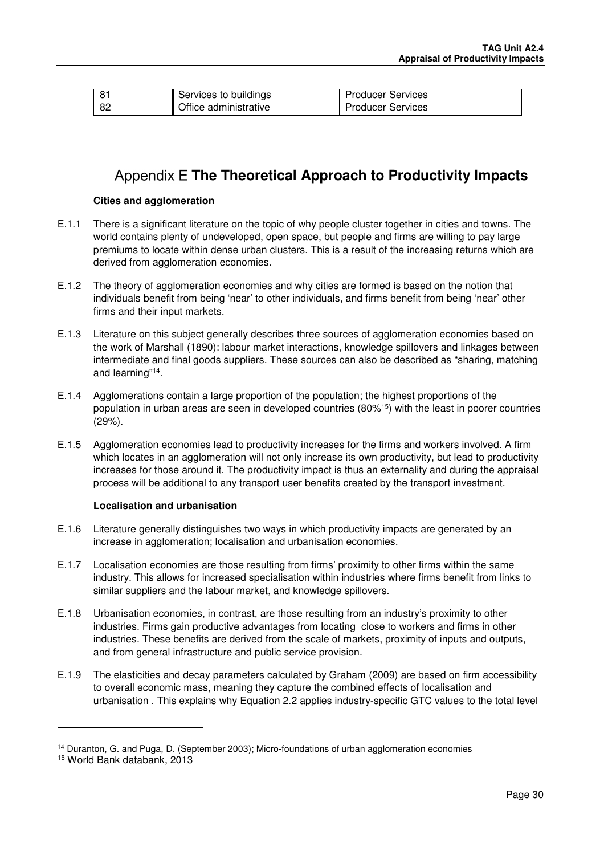| $\parallel$ 81 | Services to buildings | Producer Services |
|----------------|-----------------------|-------------------|
| ∥ 82           | Office administrative | Producer Services |

# **Appendix E The Theoretical Approach to Productivity Impacts**

#### **Cities and agglomeration**

- E.1.1 There is a significant literature on the topic of why people cluster together in cities and towns. The world contains plenty of undeveloped, open space, but people and firms are willing to pay large premiums to locate within dense urban clusters. This is a result of the increasing returns which are derived from agglomeration economies.
- E.1.2 The theory of agglomeration economies and why cities are formed is based on the notion that individuals benefit from being 'near' to other individuals, and firms benefit from being 'near' other firms and their input markets.
- E.1.3 Literature on this subject generally describes three sources of agglomeration economies based on the work of Marshall (1890): labour market interactions, knowledge spillovers and linkages between intermediate and final goods suppliers. These sources can also be described as "sharing, matching and learning"<sup>14</sup> .
- E.1.4 Agglomerations contain a large proportion of the population; the highest proportions of the population in urban areas are seen in developed countries (80%<sup>15</sup>) with the least in poorer countries (29%).
- E.1.5 Agglomeration economies lead to productivity increases for the firms and workers involved. A firm which locates in an agglomeration will not only increase its own productivity, but lead to productivity increases for those around it. The productivity impact is thus an externality and during the appraisal process will be additional to any transport user benefits created by the transport investment.

#### **Localisation and urbanisation**

- E.1.6 Literature generally distinguishes two ways in which productivity impacts are generated by an increase in agglomeration; localisation and urbanisation economies.
- E.1.7 Localisation economies are those resulting from firms' proximity to other firms within the same industry. This allows for increased specialisation within industries where firms benefit from links to similar suppliers and the labour market, and knowledge spillovers.
- E.1.8 Urbanisation economies, in contrast, are those resulting from an industry's proximity to other industries. Firms gain productive advantages from locating close to workers and firms in other industries. These benefits are derived from the scale of markets, proximity of inputs and outputs, and from general infrastructure and public service provision.
- E.1.9 The elasticities and decay parameters calculated by Graham (2009) are based on firm accessibility to overall economic mass, meaning they capture the combined effects of localisation and urbanisation . This explains why Equation 2.2 applies industry-specific GTC values to the total level

-

<sup>14</sup> Duranton, G. and Puga, D. (September 2003); Micro-foundations of urban agglomeration economies

<sup>15</sup> World Bank databank, 2013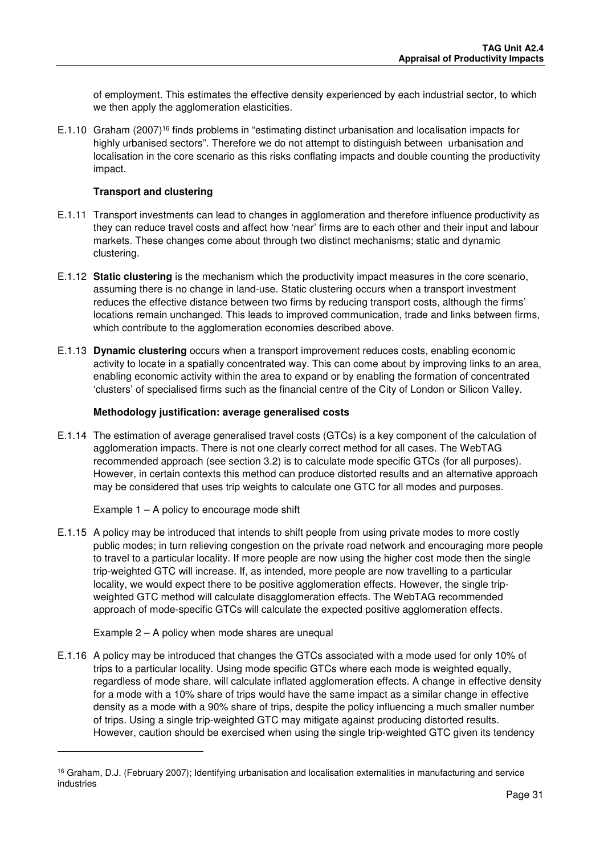of employment. This estimates the effective density experienced by each industrial sector, to which we then apply the agglomeration elasticities.

E.1.10 Graham (2007)<sup>16</sup> finds problems in "estimating distinct urbanisation and localisation impacts for highly urbanised sectors". Therefore we do not attempt to distinguish between urbanisation and localisation in the core scenario as this risks conflating impacts and double counting the productivity impact.

### **Transport and clustering**

- E.1.11 Transport investments can lead to changes in agglomeration and therefore influence productivity as they can reduce travel costs and affect how 'near' firms are to each other and their input and labour markets. These changes come about through two distinct mechanisms; static and dynamic clustering.
- E.1.12 **Static clustering** is the mechanism which the productivity impact measures in the core scenario, assuming there is no change in land-use. Static clustering occurs when a transport investment reduces the effective distance between two firms by reducing transport costs, although the firms' locations remain unchanged. This leads to improved communication, trade and links between firms, which contribute to the agglomeration economies described above.
- E.1.13 **Dynamic clustering** occurs when a transport improvement reduces costs, enabling economic activity to locate in a spatially concentrated way. This can come about by improving links to an area, enabling economic activity within the area to expand or by enabling the formation of concentrated 'clusters' of specialised firms such as the financial centre of the City of London or Silicon Valley.

### **Methodology justification: average generalised costs**

E.1.14 The estimation of average generalised travel costs (GTCs) is a key component of the calculation of agglomeration impacts. There is not one clearly correct method for all cases. The WebTAG recommended approach (see section 3.2) is to calculate mode specific GTCs (for all purposes). However, in certain contexts this method can produce distorted results and an alternative approach may be considered that uses trip weights to calculate one GTC for all modes and purposes.

Example 1 – A policy to encourage mode shift

E.1.15 A policy may be introduced that intends to shift people from using private modes to more costly public modes; in turn relieving congestion on the private road network and encouraging more people to travel to a particular locality. If more people are now using the higher cost mode then the single trip-weighted GTC will increase. If, as intended, more people are now travelling to a particular locality, we would expect there to be positive agglomeration effects. However, the single tripweighted GTC method will calculate disagglomeration effects. The WebTAG recommended approach of mode-specific GTCs will calculate the expected positive agglomeration effects.

### Example 2 – A policy when mode shares are unequal

l

E.1.16 A policy may be introduced that changes the GTCs associated with a mode used for only 10% of trips to a particular locality. Using mode specific GTCs where each mode is weighted equally, regardless of mode share, will calculate inflated agglomeration effects. A change in effective density for a mode with a 10% share of trips would have the same impact as a similar change in effective density as a mode with a 90% share of trips, despite the policy influencing a much smaller number of trips. Using a single trip-weighted GTC may mitigate against producing distorted results. However, caution should be exercised when using the single trip-weighted GTC given its tendency

<sup>16</sup> Graham, D.J. (February 2007); Identifying urbanisation and localisation externalities in manufacturing and service industries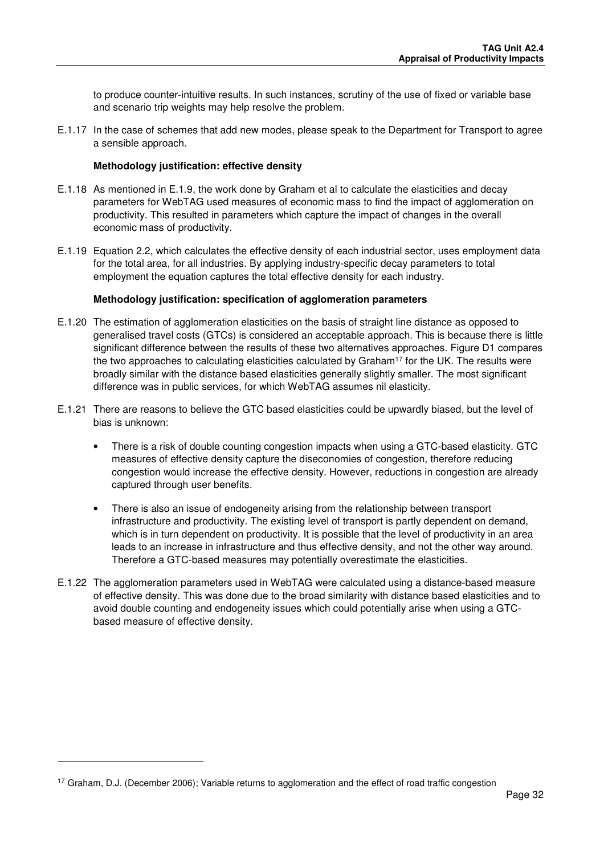to produce counter-intuitive results. In such instances, scrutiny of the use of fixed or variable base and scenario trip weights may help resolve the problem.

E.1.17 In the case of schemes that add new modes, please speak to the Department for Transport to agree a sensible approach.

### **Methodology justification: effective density**

- E.1.18 As mentioned in E.1.9, the work done by Graham et al to calculate the elasticities and decay parameters for WebTAG used measures of economic mass to find the impact of agglomeration on productivity. This resulted in parameters which capture the impact of changes in the overall economic mass of productivity.
- E.1.19 Equation 2.2, which calculates the effective density of each industrial sector, uses employment data for the total area, for all industries. By applying industry-specific decay parameters to total employment the equation captures the total effective density for each industry.

#### **Methodology justification: specification of agglomeration parameters**

- E.1.20 The estimation of agglomeration elasticities on the basis of straight line distance as opposed to generalised travel costs (GTCs) is considered an acceptable approach. This is because there is little significant difference between the results of these two alternatives approaches. Figure D1 compares the two approaches to calculating elasticities calculated by Graham<sup>17</sup> for the UK. The results were broadly similar with the distance based elasticities generally slightly smaller. The most significant difference was in public services, for which WebTAG assumes nil elasticity.
- E.1.21 There are reasons to believe the GTC based elasticities could be upwardly biased, but the level of bias is unknown:
	- There is a risk of double counting congestion impacts when using a GTC-based elasticity. GTC measures of effective density capture the diseconomies of congestion, therefore reducing congestion would increase the effective density. However, reductions in congestion are already captured through user benefits.
	- There is also an issue of endogeneity arising from the relationship between transport infrastructure and productivity. The existing level of transport is partly dependent on demand, which is in turn dependent on productivity. It is possible that the level of productivity in an area leads to an increase in infrastructure and thus effective density, and not the other way around. Therefore a GTC-based measures may potentially overestimate the elasticities.
- E.1.22 The agglomeration parameters used in WebTAG were calculated using a distance-based measure of effective density. This was done due to the broad similarity with distance based elasticities and to avoid double counting and endogeneity issues which could potentially arise when using a GTCbased measure of effective density.

-

<sup>&</sup>lt;sup>17</sup> Graham, D.J. (December 2006); Variable returns to agglomeration and the effect of road traffic congestion